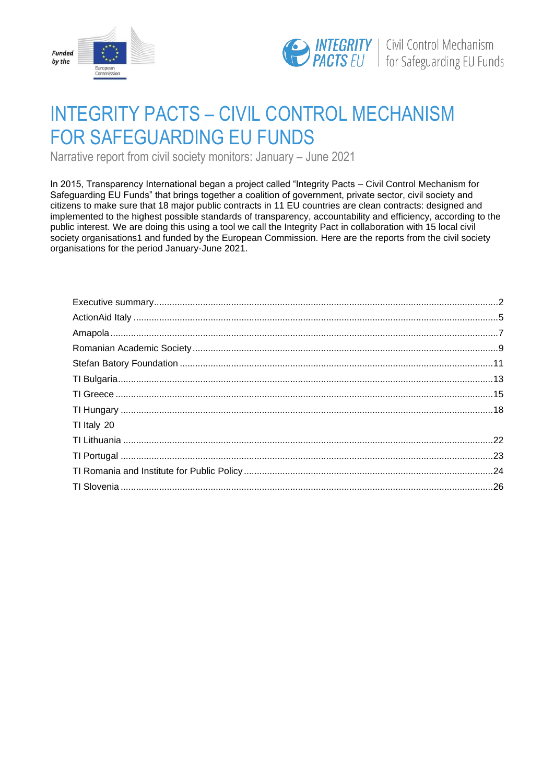



# INTEGRITY PACTS – CIVIL CONTROL MECHANISM FOR SAFEGUARDING EU FUNDS

Narrative report from civil society monitors: January – June 2021

In 2015, Transparency International began a project called "Integrity Pacts – Civil Control Mechanism for Safeguarding EU Funds" that brings together a coalition of government, private sector, civil society and citizens to make sure that 18 major public contracts in 11 EU countries are clean contracts: designed and implemented to the highest possible standards of transparency, accountability and efficiency, according to the public interest. We are doing this using a tool we call the Integrity Pact in collaboration with 15 local civil society organisations1 and funded by the European Commission. Here are the reports from the civil society organisations for the period January-June 2021.

| TI Italy 20 |  |
|-------------|--|
|             |  |
|             |  |
|             |  |
|             |  |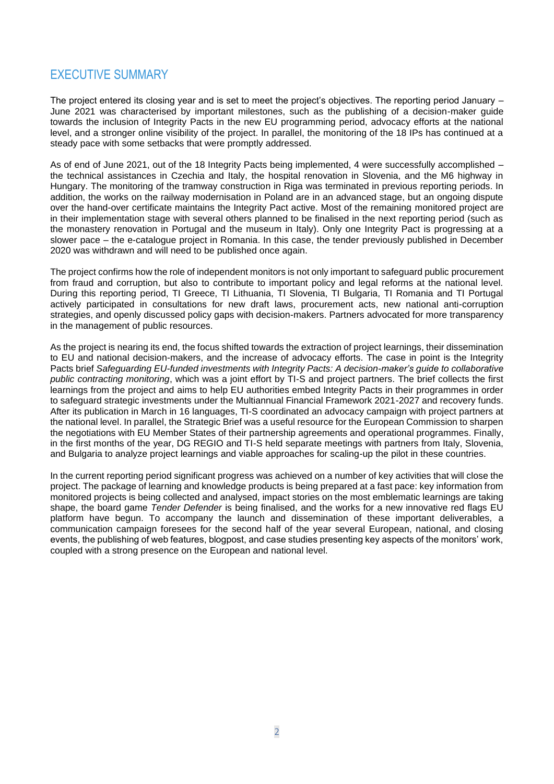# <span id="page-1-0"></span>EXECUTIVE SUMMARY

The project entered its closing year and is set to meet the project's objectives. The reporting period January – June 2021 was characterised by important milestones, such as the publishing of a decision-maker guide towards the inclusion of Integrity Pacts in the new EU programming period, advocacy efforts at the national level, and a stronger online visibility of the project. In parallel, the monitoring of the 18 IPs has continued at a steady pace with some setbacks that were promptly addressed.

As of end of June 2021, out of the 18 Integrity Pacts being implemented, 4 were successfully accomplished – the technical assistances in Czechia and Italy, the hospital renovation in Slovenia, and the M6 highway in Hungary. The monitoring of the tramway construction in Riga was terminated in previous reporting periods. In addition, the works on the railway modernisation in Poland are in an advanced stage, but an ongoing dispute over the hand-over certificate maintains the Integrity Pact active. Most of the remaining monitored project are in their implementation stage with several others planned to be finalised in the next reporting period (such as the monastery renovation in Portugal and the museum in Italy). Only one Integrity Pact is progressing at a slower pace – the e-catalogue project in Romania. In this case, the tender previously published in December 2020 was withdrawn and will need to be published once again.

The project confirms how the role of independent monitors is not only important to safeguard public procurement from fraud and corruption, but also to contribute to important policy and legal reforms at the national level. During this reporting period, TI Greece, TI Lithuania, TI Slovenia, TI Bulgaria, TI Romania and TI Portugal actively participated in consultations for new draft laws, procurement acts, new national anti-corruption strategies, and openly discussed policy gaps with decision-makers. Partners advocated for more transparency in the management of public resources.

As the project is nearing its end, the focus shifted towards the extraction of project learnings, their dissemination to EU and national decision-makers, and the increase of advocacy efforts. The case in point is the Integrity Pacts brief *Safeguarding EU-funded investments with Integrity Pacts: A decision-maker's guide to collaborative public contracting monitoring*, which was a joint effort by TI-S and project partners. The brief collects the first learnings from the project and aims to help EU authorities embed Integrity Pacts in their programmes in order to safeguard strategic investments under the Multiannual Financial Framework 2021-2027 and recovery funds. After its publication in March in 16 languages, TI-S coordinated an advocacy campaign with project partners at the national level. In parallel, the Strategic Brief was a useful resource for the European Commission to sharpen the negotiations with EU Member States of their partnership agreements and operational programmes. Finally, in the first months of the year, DG REGIO and TI-S held separate meetings with partners from Italy, Slovenia, and Bulgaria to analyze project learnings and viable approaches for scaling-up the pilot in these countries.

In the current reporting period significant progress was achieved on a number of key activities that will close the project. The package of learning and knowledge products is being prepared at a fast pace: key information from monitored projects is being collected and analysed, impact stories on the most emblematic learnings are taking shape, the board game *Tender Defender* is being finalised, and the works for a new innovative red flags EU platform have begun. To accompany the launch and dissemination of these important deliverables, a communication campaign foresees for the second half of the year several European, national, and closing events, the publishing of web features, blogpost, and case studies presenting key aspects of the monitors' work, coupled with a strong presence on the European and national level.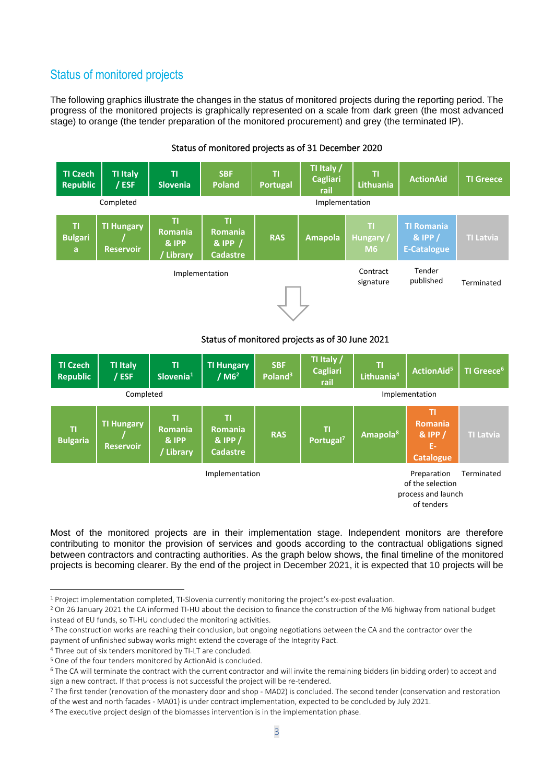# Status of monitored projects

The following graphics illustrate the changes in the status of monitored projects during the reporting period. The progress of the monitored projects is graphically represented on a scale from dark green (the most advanced stage) to orange (the tender preparation of the monitored procurement) and grey (the terminated IP).



# Status of monitored projects as of 31 December 2020

# Status of monitored projects as of 30 June 2021



Most of the monitored projects are in their implementation stage. Independent monitors are therefore contributing to monitor the provision of services and goods according to the contractual obligations signed between contractors and contracting authorities. As the graph below shows, the final timeline of the monitored projects is becoming clearer. By the end of the project in December 2021, it is expected that 10 projects will be

<sup>1</sup> Project implementation completed, TI-Slovenia currently monitoring the project's ex-post evaluation.

<sup>&</sup>lt;sup>2</sup> On 26 January 2021 the CA informed TI-HU about the decision to finance the construction of the M6 highway from national budget instead of EU funds, so TI-HU concluded the monitoring activities.

<sup>&</sup>lt;sup>3</sup> The construction works are reaching their conclusion, but ongoing negotiations between the CA and the contractor over the payment of unfinished subway works might extend the coverage of the Integrity Pact.

<sup>4</sup> Three out of six tenders monitored by TI-LT are concluded.

<sup>5</sup> One of the four tenders monitored by ActionAid is concluded.

<sup>6</sup> The CA will terminate the contract with the current contractor and will invite the remaining bidders (in bidding order) to accept and sign a new contract. If that process is not successful the project will be re-tendered.

<sup>&</sup>lt;sup>7</sup> The first tender (renovation of the monastery door and shop - MA02) is concluded. The second tender (conservation and restoration of the west and north facades - MA01) is under contract implementation, expected to be concluded by July 2021.

<sup>&</sup>lt;sup>8</sup> The executive project design of the biomasses intervention is in the implementation phase.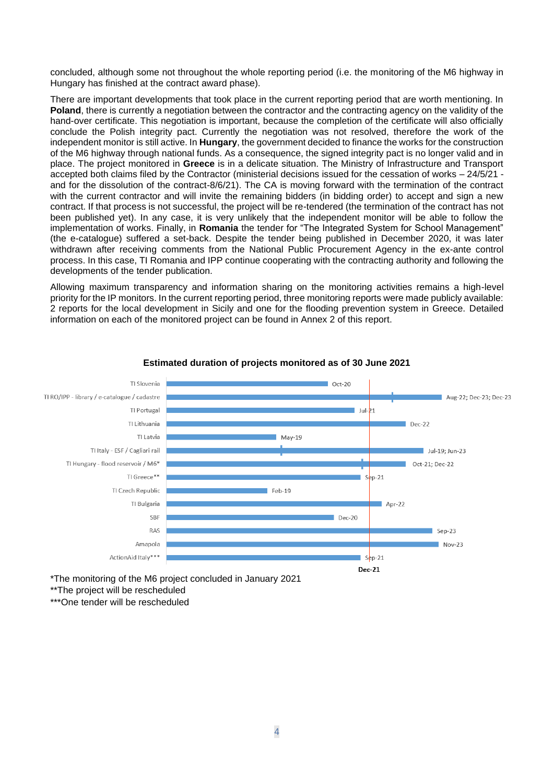concluded, although some not throughout the whole reporting period (i.e. the monitoring of the M6 highway in Hungary has finished at the contract award phase).

There are important developments that took place in the current reporting period that are worth mentioning. In **Poland**, there is currently a negotiation between the contractor and the contracting agency on the validity of the hand-over certificate. This negotiation is important, because the completion of the certificate will also officially conclude the Polish integrity pact. Currently the negotiation was not resolved, therefore the work of the independent monitor is still active. In **Hungary**, the government decided to finance the works for the construction of the M6 highway through national funds. As a consequence, the signed integrity pact is no longer valid and in place. The project monitored in **Greece** is in a delicate situation. The Ministry of Infrastructure and Transport accepted both claims filed by the Contractor (ministerial decisions issued for the cessation of works – 24/5/21 and for the dissolution of the contract-8/6/21). The CA is moving forward with the termination of the contract with the current contractor and will invite the remaining bidders (in bidding order) to accept and sign a new contract. If that process is not successful, the project will be re-tendered (the termination of the contract has not been published yet). In any case, it is very unlikely that the independent monitor will be able to follow the implementation of works. Finally, in **Romania** the tender for "The Integrated System for School Management" (the e-catalogue) suffered a set-back. Despite the tender being published in December 2020, it was later withdrawn after receiving comments from the National Public Procurement Agency in the ex-ante control process. In this case, TI Romania and IPP continue cooperating with the contracting authority and following the developments of the tender publication.

Allowing maximum transparency and information sharing on the monitoring activities remains a high-level priority for the IP monitors. In the current reporting period, three monitoring reports were made publicly available: 2 reports for the local development in Sicily and one for the flooding prevention system in Greece. Detailed information on each of the monitored project can be found in Annex 2 of this report.



#### **Estimated duration of projects monitored as of 30 June 2021**

\*The monitoring of the M6 project concluded in January 2021

\*\*The project will be rescheduled

\*\*\*One tender will be rescheduled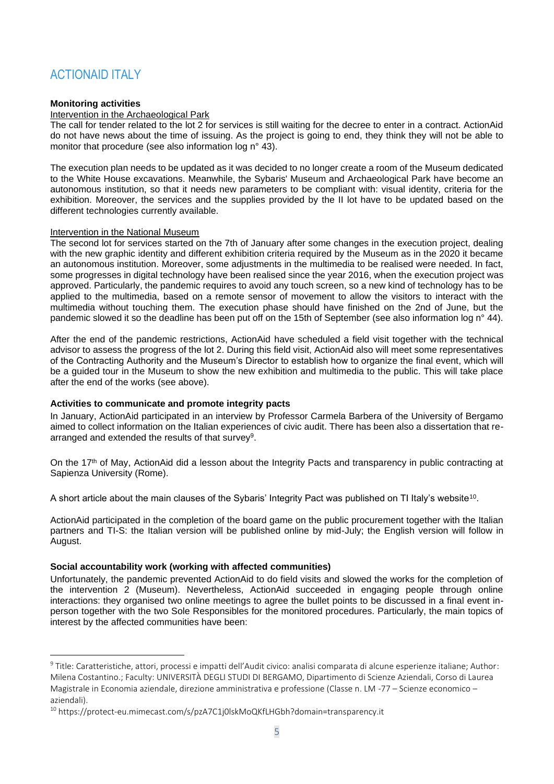# <span id="page-4-0"></span>ACTIONAID ITALY

### **Monitoring activities**

#### Intervention in the Archaeological Park

The call for tender related to the lot 2 for services is still waiting for the decree to enter in a contract. ActionAid do not have news about the time of issuing. As the project is going to end, they think they will not be able to monitor that procedure (see also information log n° 43).

The execution plan needs to be updated as it was decided to no longer create a room of the Museum dedicated to the White House excavations. Meanwhile, the Sybaris' Museum and Archaeological Park have become an autonomous institution, so that it needs new parameters to be compliant with: visual identity, criteria for the exhibition. Moreover, the services and the supplies provided by the II lot have to be updated based on the different technologies currently available.

#### Intervention in the National Museum

The second lot for services started on the 7th of January after some changes in the execution project, dealing with the new graphic identity and different exhibition criteria required by the Museum as in the 2020 it became an autonomous institution. Moreover, some adjustments in the multimedia to be realised were needed. In fact, some progresses in digital technology have been realised since the year 2016, when the execution project was approved. Particularly, the pandemic requires to avoid any touch screen, so a new kind of technology has to be applied to the multimedia, based on a remote sensor of movement to allow the visitors to interact with the multimedia without touching them. The execution phase should have finished on the 2nd of June, but the pandemic slowed it so the deadline has been put off on the 15th of September (see also information log n° 44).

After the end of the pandemic restrictions, ActionAid have scheduled a field visit together with the technical advisor to assess the progress of the lot 2. During this field visit, ActionAid also will meet some representatives of the Contracting Authority and the Museum's Director to establish how to organize the final event, which will be a guided tour in the Museum to show the new exhibition and multimedia to the public. This will take place after the end of the works (see above).

# **Activities to communicate and promote integrity pacts**

In January, ActionAid participated in an interview by Professor Carmela Barbera of the University of Bergamo aimed to collect information on the Italian experiences of civic audit. There has been also a dissertation that rearranged and extended the results of that survey<sup>9</sup>.

On the 17<sup>th</sup> of May, ActionAid did a lesson about the Integrity Pacts and transparency in public contracting at Sapienza University (Rome).

A short article about the main clauses of the Sybaris' Integrity Pact was published on TI Italy's website $^{\rm 10}$ .

ActionAid participated in the completion of the board game on the public procurement together with the Italian partners and TI-S: the Italian version will be published online by mid-July; the English version will follow in August.

# **Social accountability work (working with affected communities)**

Unfortunately, the pandemic prevented ActionAid to do field visits and slowed the works for the completion of the intervention 2 (Museum). Nevertheless, ActionAid succeeded in engaging people through online interactions: they organised two online meetings to agree the bullet points to be discussed in a final event inperson together with the two Sole Responsibles for the monitored procedures. Particularly, the main topics of interest by the affected communities have been:

<sup>9</sup> Title: Caratteristiche, attori, processi e impatti dell'Audit civico: analisi comparata di alcune esperienze italiane; Author: Milena Costantino.; Faculty: UNIVERSITÀ DEGLI STUDI DI BERGAMO, Dipartimento di Scienze Aziendali, Corso di Laurea Magistrale in Economia aziendale, direzione amministrativa e professione (Classe n. LM -77 – Scienze economico – aziendali).

<sup>10</sup> https://protect-eu.mimecast.com/s/pzA7C1j0lskMoQKfLHGbh?domain=transparency.it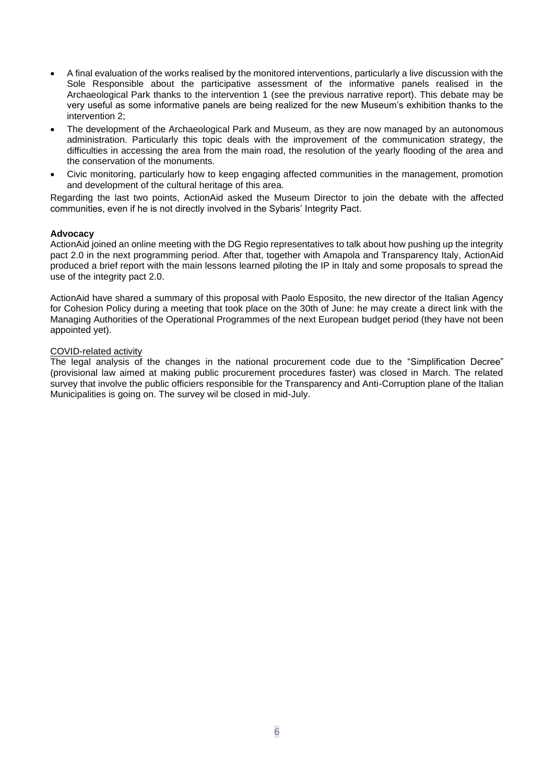- A final evaluation of the works realised by the monitored interventions, particularly a live discussion with the Sole Responsible about the participative assessment of the informative panels realised in the Archaeological Park thanks to the intervention 1 (see the previous narrative report). This debate may be very useful as some informative panels are being realized for the new Museum's exhibition thanks to the intervention 2;
- The development of the Archaeological Park and Museum, as they are now managed by an autonomous administration. Particularly this topic deals with the improvement of the communication strategy, the difficulties in accessing the area from the main road, the resolution of the yearly flooding of the area and the conservation of the monuments.
- Civic monitoring, particularly how to keep engaging affected communities in the management, promotion and development of the cultural heritage of this area.

Regarding the last two points, ActionAid asked the Museum Director to join the debate with the affected communities, even if he is not directly involved in the Sybaris' Integrity Pact.

#### **Advocacy**

ActionAid joined an online meeting with the DG Regio representatives to talk about how pushing up the integrity pact 2.0 in the next programming period. After that, together with Amapola and Transparency Italy, ActionAid produced a brief report with the main lessons learned piloting the IP in Italy and some proposals to spread the use of the integrity pact 2.0.

ActionAid have shared a summary of this proposal with Paolo Esposito, the new director of the Italian Agency for Cohesion Policy during a meeting that took place on the 30th of June: he may create a direct link with the Managing Authorities of the Operational Programmes of the next European budget period (they have not been appointed yet).

#### COVID-related activity

The legal analysis of the changes in the national procurement code due to the "Simplification Decree" (provisional law aimed at making public procurement procedures faster) was closed in March. The related survey that involve the public officiers responsible for the Transparency and Anti-Corruption plane of the Italian Municipalities is going on. The survey wil be closed in mid-July.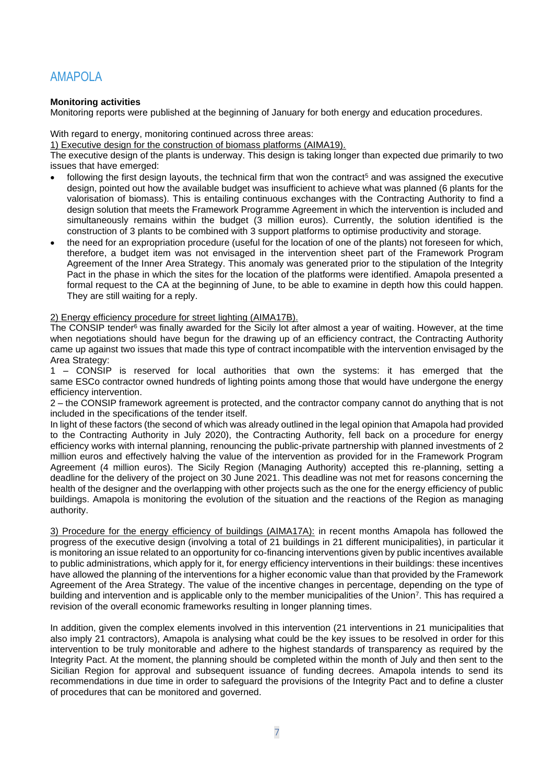# <span id="page-6-0"></span>AMAPOLA

# **Monitoring activities**

Monitoring reports were published at the beginning of January for both energy and education procedures.

#### With regard to energy, monitoring continued across three areas:

1) Executive design for the construction of biomass platforms (AIMA19).

The executive design of the plants is underway. This design is taking longer than expected due primarily to two issues that have emerged:

- following the first design layouts, the technical firm that won the contract<sup>5</sup> and was assigned the executive design, pointed out how the available budget was insufficient to achieve what was planned (6 plants for the valorisation of biomass). This is entailing continuous exchanges with the Contracting Authority to find a design solution that meets the Framework Programme Agreement in which the intervention is included and simultaneously remains within the budget (3 million euros). Currently, the solution identified is the construction of 3 plants to be combined with 3 support platforms to optimise productivity and storage.
- the need for an expropriation procedure (useful for the location of one of the plants) not foreseen for which, therefore, a budget item was not envisaged in the intervention sheet part of the Framework Program Agreement of the Inner Area Strategy. This anomaly was generated prior to the stipulation of the Integrity Pact in the phase in which the sites for the location of the platforms were identified. Amapola presented a formal request to the CA at the beginning of June, to be able to examine in depth how this could happen. They are still waiting for a reply.

#### 2) Energy efficiency procedure for street lighting (AIMA17B).

The CONSIP tender<sup>6</sup> was finally awarded for the Sicily lot after almost a year of waiting. However, at the time when negotiations should have begun for the drawing up of an efficiency contract, the Contracting Authority came up against two issues that made this type of contract incompatible with the intervention envisaged by the Area Strategy:

1 – CONSIP is reserved for local authorities that own the systems: it has emerged that the same ESCo contractor owned hundreds of lighting points among those that would have undergone the energy efficiency intervention.

2 – the CONSIP framework agreement is protected, and the contractor company cannot do anything that is not included in the specifications of the tender itself.

In light of these factors (the second of which was already outlined in the legal opinion that Amapola had provided to the Contracting Authority in July 2020), the Contracting Authority, fell back on a procedure for energy efficiency works with internal planning, renouncing the public-private partnership with planned investments of 2 million euros and effectively halving the value of the intervention as provided for in the Framework Program Agreement (4 million euros). The Sicily Region (Managing Authority) accepted this re-planning, setting a deadline for the delivery of the project on 30 June 2021. This deadline was not met for reasons concerning the health of the designer and the overlapping with other projects such as the one for the energy efficiency of public buildings. Amapola is monitoring the evolution of the situation and the reactions of the Region as managing authority.

3) Procedure for the energy efficiency of buildings (AIMA17A): in recent months Amapola has followed the progress of the executive design (involving a total of 21 buildings in 21 different municipalities), in particular it is monitoring an issue related to an opportunity for co-financing interventions given by public incentives available to public administrations, which apply for it, for energy efficiency interventions in their buildings: these incentives have allowed the planning of the interventions for a higher economic value than that provided by the Framework Agreement of the Area Strategy. The value of the incentive changes in percentage, depending on the type of building and intervention and is applicable only to the member municipalities of the Union<sup>7</sup>. This has required a revision of the overall economic frameworks resulting in longer planning times.

In addition, given the complex elements involved in this intervention (21 interventions in 21 municipalities that also imply 21 contractors), Amapola is analysing what could be the key issues to be resolved in order for this intervention to be truly monitorable and adhere to the highest standards of transparency as required by the Integrity Pact. At the moment, the planning should be completed within the month of July and then sent to the Sicilian Region for approval and subsequent issuance of funding decrees. Amapola intends to send its recommendations in due time in order to safeguard the provisions of the Integrity Pact and to define a cluster of procedures that can be monitored and governed.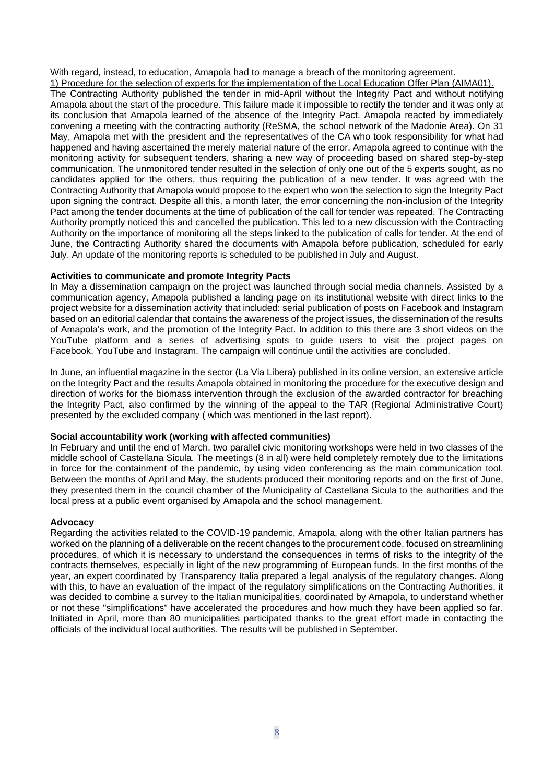With regard, instead, to education, Amapola had to manage a breach of the monitoring agreement.

1) Procedure for the selection of experts for the implementation of the Local Education Offer Plan (AIMA01). The Contracting Authority published the tender in mid-April without the Integrity Pact and without notifying Amapola about the start of the procedure. This failure made it impossible to rectify the tender and it was only at its conclusion that Amapola learned of the absence of the Integrity Pact. Amapola reacted by immediately convening a meeting with the contracting authority (ReSMA, the school network of the Madonie Area). On 31 May, Amapola met with the president and the representatives of the CA who took responsibility for what had happened and having ascertained the merely material nature of the error, Amapola agreed to continue with the monitoring activity for subsequent tenders, sharing a new way of proceeding based on shared step-by-step communication. The unmonitored tender resulted in the selection of only one out of the 5 experts sought, as no candidates applied for the others, thus requiring the publication of a new tender. It was agreed with the Contracting Authority that Amapola would propose to the expert who won the selection to sign the Integrity Pact upon signing the contract. Despite all this, a month later, the error concerning the non-inclusion of the Integrity Pact among the tender documents at the time of publication of the call for tender was repeated. The Contracting Authority promptly noticed this and cancelled the publication. This led to a new discussion with the Contracting Authority on the importance of monitoring all the steps linked to the publication of calls for tender. At the end of June, the Contracting Authority shared the documents with Amapola before publication, scheduled for early July. An update of the monitoring reports is scheduled to be published in July and August.

#### **Activities to communicate and promote Integrity Pacts**

In May a dissemination campaign on the project was launched through social media channels. Assisted by a communication agency, Amapola published a landing page on its institutional website with direct links to the project website for a dissemination activity that included: serial publication of posts on Facebook and Instagram based on an editorial calendar that contains the awareness of the project issues, the dissemination of the results of Amapola's work, and the promotion of the Integrity Pact. In addition to this there are 3 short videos on the YouTube platform and a series of advertising spots to guide users to visit the project pages on Facebook, YouTube and Instagram. The campaign will continue until the activities are concluded.

In June, an influential magazine in the sector (La Via Libera) published in its online version, an extensive article on the Integrity Pact and the results Amapola obtained in monitoring the procedure for the executive design and direction of works for the biomass intervention through the exclusion of the awarded contractor for breaching the Integrity Pact, also confirmed by the winning of the appeal to the TAR (Regional Administrative Court) presented by the excluded company ( which was mentioned in the last report).

#### **Social accountability work (working with affected communities)**

In February and until the end of March, two parallel civic monitoring workshops were held in two classes of the middle school of Castellana Sicula. The meetings (8 in all) were held completely remotely due to the limitations in force for the containment of the pandemic, by using video conferencing as the main communication tool. Between the months of April and May, the students produced their monitoring reports and on the first of June, they presented them in the council chamber of the Municipality of Castellana Sicula to the authorities and the local press at a public event organised by Amapola and the school management.

#### **Advocacy**

Regarding the activities related to the COVID-19 pandemic, Amapola, along with the other Italian partners has worked on the planning of a deliverable on the recent changes to the procurement code, focused on streamlining procedures, of which it is necessary to understand the consequences in terms of risks to the integrity of the contracts themselves, especially in light of the new programming of European funds. In the first months of the year, an expert coordinated by Transparency Italia prepared a legal analysis of the regulatory changes. Along with this, to have an evaluation of the impact of the regulatory simplifications on the Contracting Authorities, it was decided to combine a survey to the Italian municipalities, coordinated by Amapola, to understand whether or not these "simplifications" have accelerated the procedures and how much they have been applied so far. Initiated in April, more than 80 municipalities participated thanks to the great effort made in contacting the officials of the individual local authorities. The results will be published in September.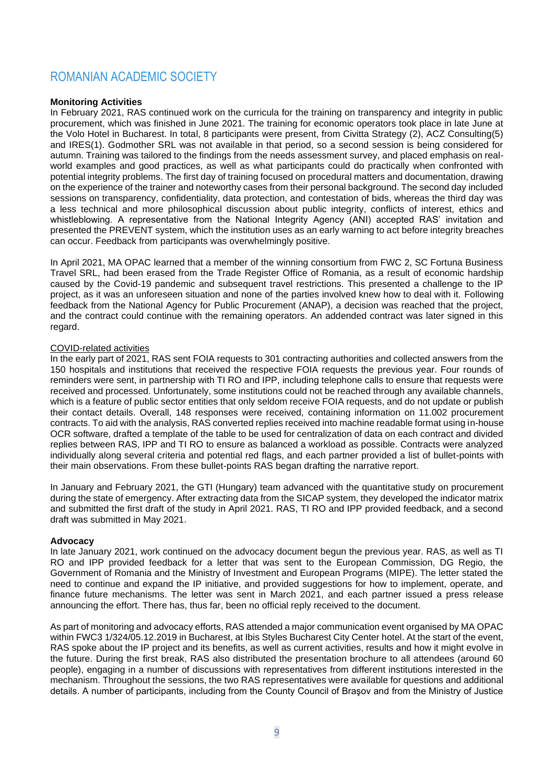# <span id="page-8-0"></span>ROMANIAN ACADEMIC SOCIETY

### **Monitoring Activities**

In February 2021, RAS continued work on the curricula for the training on transparency and integrity in public procurement, which was finished in June 2021. The training for economic operators took place in late June at the Volo Hotel in Bucharest. In total, 8 participants were present, from Civitta Strategy (2), ACZ Consulting(5) and IRES(1). Godmother SRL was not available in that period, so a second session is being considered for autumn. Training was tailored to the findings from the needs assessment survey, and placed emphasis on realworld examples and good practices, as well as what participants could do practically when confronted with potential integrity problems. The first day of training focused on procedural matters and documentation, drawing on the experience of the trainer and noteworthy cases from their personal background. The second day included sessions on transparency, confidentiality, data protection, and contestation of bids, whereas the third day was a less technical and more philosophical discussion about public integrity, conflicts of interest, ethics and whistleblowing. A representative from the National Integrity Agency (ANI) accepted RAS' invitation and presented the PREVENT system, which the institution uses as an early warning to act before integrity breaches can occur. Feedback from participants was overwhelmingly positive.

In April 2021, MA OPAC learned that a member of the winning consortium from FWC 2, SC Fortuna Business Travel SRL, had been erased from the Trade Register Office of Romania, as a result of economic hardship caused by the Covid-19 pandemic and subsequent travel restrictions. This presented a challenge to the IP project, as it was an unforeseen situation and none of the parties involved knew how to deal with it. Following feedback from the National Agency for Public Procurement (ANAP), a decision was reached that the project, and the contract could continue with the remaining operators. An addended contract was later signed in this regard.

#### COVID-related activities

In the early part of 2021, RAS sent FOIA requests to 301 contracting authorities and collected answers from the 150 hospitals and institutions that received the respective FOIA requests the previous year. Four rounds of reminders were sent, in partnership with TI RO and IPP, including telephone calls to ensure that requests were received and processed. Unfortunately, some institutions could not be reached through any available channels, which is a feature of public sector entities that only seldom receive FOIA requests, and do not update or publish their contact details. Overall, 148 responses were received, containing information on 11.002 procurement contracts. To aid with the analysis, RAS converted replies received into machine readable format using in-house OCR software, drafted a template of the table to be used for centralization of data on each contract and divided replies between RAS, IPP and TI RO to ensure as balanced a workload as possible. Contracts were analyzed individually along several criteria and potential red flags, and each partner provided a list of bullet-points with their main observations. From these bullet-points RAS began drafting the narrative report.

In January and February 2021, the GTI (Hungary) team advanced with the quantitative study on procurement during the state of emergency. After extracting data from the SICAP system, they developed the indicator matrix and submitted the first draft of the study in April 2021. RAS, TI RO and IPP provided feedback, and a second draft was submitted in May 2021.

#### **Advocacy**

In late January 2021, work continued on the advocacy document begun the previous year. RAS, as well as TI RO and IPP provided feedback for a letter that was sent to the European Commission, DG Regio, the Government of Romania and the Ministry of Investment and European Programs (MIPE). The letter stated the need to continue and expand the IP initiative, and provided suggestions for how to implement, operate, and finance future mechanisms. The letter was sent in March 2021, and each partner issued a press release announcing the effort. There has, thus far, been no official reply received to the document.

As part of monitoring and advocacy efforts, RAS attended a major communication event organised by MA OPAC within FWC3 1/324/05.12.2019 in Bucharest, at Ibis Styles Bucharest City Center hotel. At the start of the event, RAS spoke about the IP project and its benefits, as well as current activities, results and how it might evolve in the future. During the first break, RAS also distributed the presentation brochure to all attendees (around 60 people), engaging in a number of discussions with representatives from different institutions interested in the mechanism. Throughout the sessions, the two RAS representatives were available for questions and additional details. A number of participants, including from the County Council of Braşov and from the Ministry of Justice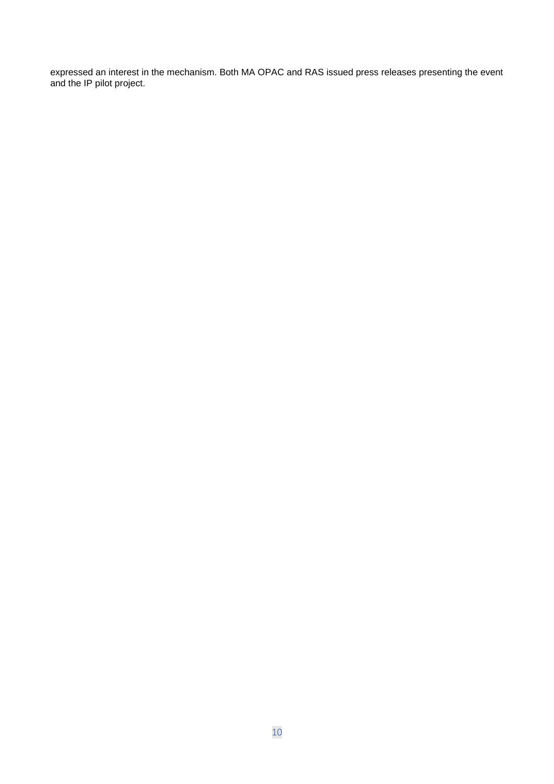expressed an interest in the mechanism. Both MA OPAC and RAS issued press releases presenting the event and the IP pilot project.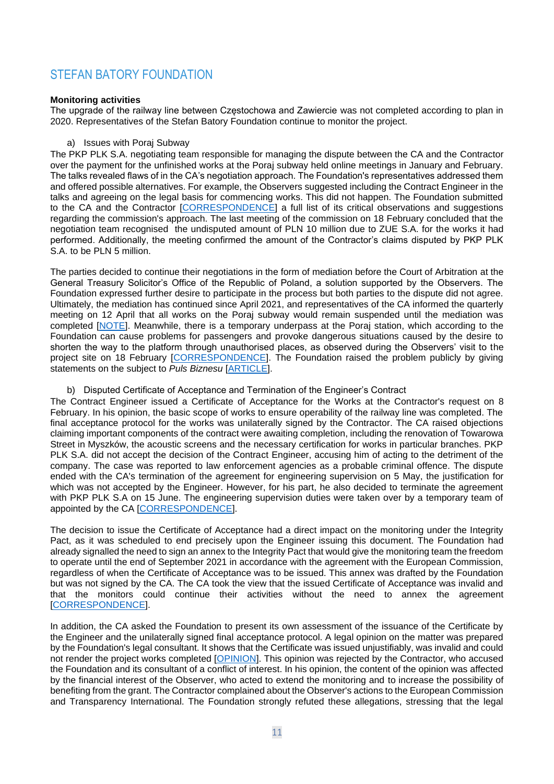# <span id="page-10-0"></span>STEFAN BATORY FOUNDATION

#### **Monitoring activities**

The upgrade of the railway line between Częstochowa and Zawiercie was not completed according to plan in 2020. Representatives of the Stefan Batory Foundation continue to monitor the project.

#### a) Issues with Poraj Subway

The PKP PLK S.A. negotiating team responsible for managing the dispute between the CA and the Contractor over the payment for the unfinished works at the Poraj subway held online meetings in January and February. The talks revealed flaws of in the CA's negotiation approach. The Foundation's representatives addressed them and offered possible alternatives. For example, the Observers suggested including the Contract Engineer in the talks and agreeing on the legal basis for commencing works. This did not happen. The Foundation submitted to the CA and the Contractor [\[CORRESPONDENCE\]](https://paktuczciwosci.pl/wp-content/uploads/2021/03/Pismo-FB_zasady-negocjacji_OST.pdf) a full list of its critical observations and suggestions regarding the commission's approach. The last meeting of the commission on 18 February concluded that the negotiation team recognised the undisputed amount of PLN 10 million due to ZUE S.A. for the works it had performed. Additionally, the meeting confirmed the amount of the Contractor's claims disputed by PKP PLK S.A. to be PLN 5 million.

The parties decided to continue their negotiations in the form of mediation before the Court of Arbitration at the General Treasury Solicitor's Office of the Republic of Poland, a solution supported by the Observers. The Foundation expressed further desire to participate in the process but both parties to the dispute did not agree. Ultimately, the mediation has continued since April 2021, and representatives of the CA informed the quarterly meeting on 12 April that all works on the Poraj subway would remain suspended until the mediation was completed [\[NOTE\]](http://paktuczciwosci.pl/wp-content/uploads/2021/05/Notatka-Spotkanie-Kwartalne_17_05_20.pdf). Meanwhile, there is a temporary underpass at the Poraj station, which according to the Foundation can cause problems for passengers and provoke dangerous situations caused by the desire to shorten the way to the platform through unauthorised places, as observed during the Observers' visit to the project site on 18 February [\[CORRESPONDENCE\]](https://paktuczciwosci.pl/wp-content/uploads/2021/03/Sz.P.-R.M%C4%85dry_03.03.21.pdf). The Foundation raised the problem publicly by giving statements on the subject to *Puls Biznesu* [\[ARTICLE\]](https://www.pb.pl/pakt-uczciwosci-ala-pkp-plk-1112041).

#### b) Disputed Certificate of Acceptance and Termination of the Engineer's Contract

The Contract Engineer issued a Certificate of Acceptance for the Works at the Contractor's request on 8 February. In his opinion, the basic scope of works to ensure operability of the railway line was completed. The final acceptance protocol for the works was unilaterally signed by the Contractor. The CA raised objections claiming important components of the contract were awaiting completion, including the renovation of Towarowa Street in Myszków, the acoustic screens and the necessary certification for works in particular branches. PKP PLK S.A. did not accept the decision of the Contract Engineer, accusing him of acting to the detriment of the company. The case was reported to law enforcement agencies as a probable criminal offence. The dispute ended with the CA's termination of the agreement for engineering supervision on 5 May, the justification for which was not accepted by the Engineer. However, for his part, he also decided to terminate the agreement with PKP PLK S.A on 15 June. The engineering supervision duties were taken over by a temporary team of appointed by the CA [\[CORRESPONDENCE\]](http://paktuczciwosci.pl/wp-content/uploads/2021/06/korespondencja-ws.-wypowiedzenia-umowy-in%C5%BCynierowi-2.pdf).

The decision to issue the Certificate of Acceptance had a direct impact on the monitoring under the Integrity Pact, as it was scheduled to end precisely upon the Engineer issuing this document. The Foundation had already signalled the need to sign an annex to the Integrity Pact that would give the monitoring team the freedom to operate until the end of September 2021 in accordance with the agreement with the European Commission, regardless of when the Certificate of Acceptance was to be issued. This annex was drafted by the Foundation but was not signed by the CA. The CA took the view that the issued Certificate of Acceptance was invalid and that the monitors could continue their activities without the need to annex the agreement [\[CORRESPONDENCE\]](http://paktuczciwosci.pl/wp-content/uploads/2021/03/Korespondencja-ws-aneksu-do-paktu-uczciwosci.pdf).

In addition, the CA asked the Foundation to present its own assessment of the issuance of the Certificate by the Engineer and the unilaterally signed final acceptance protocol. A legal opinion on the matter was prepared by the Foundation's legal consultant. It shows that the Certificate was issued unjustifiably, was invalid and could not render the project works completed [\[OPINION\]](http://paktuczciwosci.pl/wp-content/uploads/2021/06/opinia-prawna-ws.-wystawienia-%C5%9AP_OST.pdf). This opinion was rejected by the Contractor, who accused the Foundation and its consultant of a conflict of interest. In his opinion, the content of the opinion was affected by the financial interest of the Observer, who acted to extend the monitoring and to increase the possibility of benefiting from the grant. The Contractor complained about the Observer's actions to the European Commission and Transparency International. The Foundation strongly refuted these allegations, stressing that the legal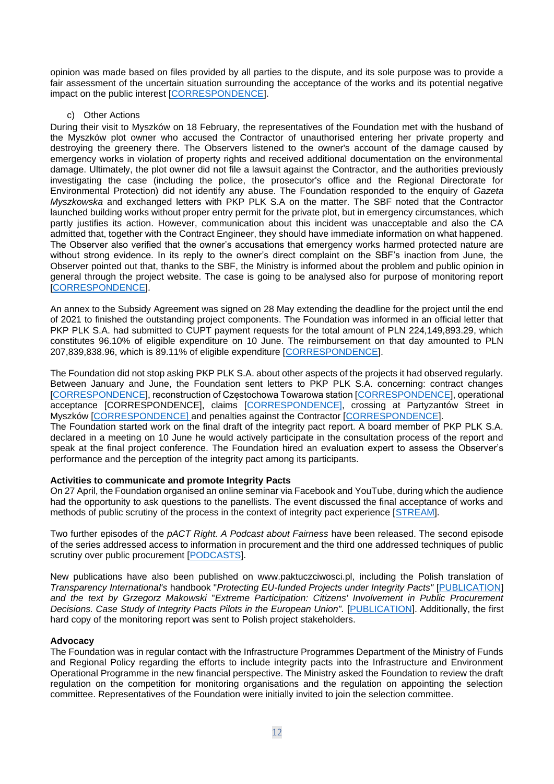opinion was made based on files provided by all parties to the dispute, and its sole purpose was to provide a fair assessment of the uncertain situation surrounding the acceptance of the works and its potential negative impact on the public interest [\[CORRESPONDENCE\]](http://paktuczciwosci.pl/wp-content/uploads/2021/04/korespondencja-ws.-%C5%9Bwiadectwa-i-opinii-1.pdf).

#### c) Other Actions

During their visit to Myszków on 18 February, the representatives of the Foundation met with the husband of the Myszków plot owner who accused the Contractor of unauthorised entering her private property and destroying the greenery there. The Observers listened to the owner's account of the damage caused by emergency works in violation of property rights and received additional documentation on the environmental damage. Ultimately, the plot owner did not file a lawsuit against the Contractor, and the authorities previously investigating the case (including the police, the prosecutor's office and the Regional Directorate for Environmental Protection) did not identify any abuse. The Foundation responded to the enquiry of *Gazeta Myszkowska* and exchanged letters with PKP PLK S.A on the matter. The SBF noted that the Contractor launched building works without proper entry permit for the private plot, but in emergency circumstances, which partly justifies its action. However, communication about this incident was unacceptable and also the CA admitted that, together with the Contract Engineer, they should have immediate information on what happened. The Observer also verified that the owner's accusations that emergency works harmed protected nature are without strong evidence. In its reply to the owner's direct complaint on the SBF's inaction from June, the Observer pointed out that, thanks to the SBF, the Ministry is informed about the problem and public opinion in general through the project website. The case is going to be analysed also for purpose of monitoring report [\[CORRESPONDENCE\]](http://paktuczciwosci.pl/wp-content/uploads/2020/09/korespondencja-ws-Myszkowa.pdf).

An annex to the Subsidy Agreement was signed on 28 May extending the deadline for the project until the end of 2021 to finished the outstanding project components. The Foundation was informed in an official letter that PKP PLK S.A. had submitted to CUPT payment requests for the total amount of PLN 224,149,893.29, which constitutes 96.10% of eligible expenditure on 10 June. The reimbursement on that day amounted to PLN 207,839,838.96, which is 89.11% of eligible expenditure [\[CORRESPONDENCE\]](http://paktuczciwosci.pl/wp-content/uploads/2021/03/korespondencja-ws-umowy-o-dofinansowanie-1.pdf).

The Foundation did not stop asking PKP PLK S.A. about other aspects of the projects it had observed regularly. Between January and June, the Foundation sent letters to PKP PLK S.A. concerning: contract changes [\[CORRESPONDENCE\]](http://paktuczciwosci.pl/wp-content/uploads/2021/03/korespondencja-ws.-stacji-Cz%C4%99stochowa-Towarowa2.pdf), reconstruction of Częstochowa Towarowa station [\[CORRESPONDENCE\]](http://paktuczciwosci.pl/wp-content/uploads/2021/03/korespondencja-ws.-odbior%C3%B3w-eksploatacyjnych.pdf), operational acceptance [CORRESPONDENCE], claims [\[CORRESPONDENCE\],](http://paktuczciwosci.pl/wp-content/uploads/2021/03/korespondencja-ws.roszcze%C5%842.pdf) crossing at Partyzantów Street in Myszków [\[CORRESPONDENCE\] a](http://paktuczciwosci.pl/wp-content/uploads/2021/03/korespondencja-ws.-przejazdu-w-Myszkowie.pdf)nd penalties against the Contractor [\[CORRESPONDENCE\]](http://paktuczciwosci.pl/wp-content/uploads/2021/03/korespondencja-ws.-kar-2.pdf). The Foundation started work on the final draft of the integrity pact report. A board member of PKP PLK S.A.

declared in a meeting on 10 June he would actively participate in the consultation process of the report and speak at the final project conference. The Foundation hired an evaluation expert to assess the Observer's performance and the perception of the integrity pact among its participants.

# **Activities to communicate and promote Integrity Pacts**

On 27 April, the Foundation organised an online seminar via Facebook and YouTube, during which the audience had the opportunity to ask questions to the panellists. The event discussed the final acceptance of works and methods of public scrutiny of the process in the context of integrity pact experience [\[STREAM\]](http://paktuczciwosci.pl/homenews/spory-i-ryzyka-nieprawidlowosci-przy-odbiorze-robot-relacja-z-seminarium/).

Two further episodes of the *pACT Right. A Podcast about Fairness* have been released. The second episode of the series addressed access to information in procurement and the third one addressed techniques of public scrutiny over public procurement [\[PODCASTS\]](http://paktuczciwosci.pl/pact-right-podcast-o-uczciwosci/).

New publications have also been published on www.paktuczciwosci.pl, including the Polish translation of *Transparency International's* handbook "*Protecting EU-funded Projects under Integrity Pacts"* [\[PUBLICATION\]](http://paktuczciwosci.pl/homenews/ochrona-inwestycji-finansowanych-przez-ue-w-ramach-paktow-uczciwosci/) *and the text by Grzegorz Makowski* "*Extreme Participation: Citizens' Involvement in Public Procurement Decisions. Case Study of Integrity Pacts Pilots in the European Union".* [\[PUBLICATION\]](http://paktuczciwosci.pl/homenews/partycypacja-ekstremalna-na-przykladzie-paktow-uczciwosci/). Additionally, the first hard copy of the monitoring report was sent to Polish project stakeholders.

# **Advocacy**

The Foundation was in regular contact with the Infrastructure Programmes Department of the Ministry of Funds and Regional Policy regarding the efforts to include integrity pacts into the Infrastructure and Environment Operational Programme in the new financial perspective. The Ministry asked the Foundation to review the draft regulation on the competition for monitoring organisations and the regulation on appointing the selection committee. Representatives of the Foundation were initially invited to join the selection committee.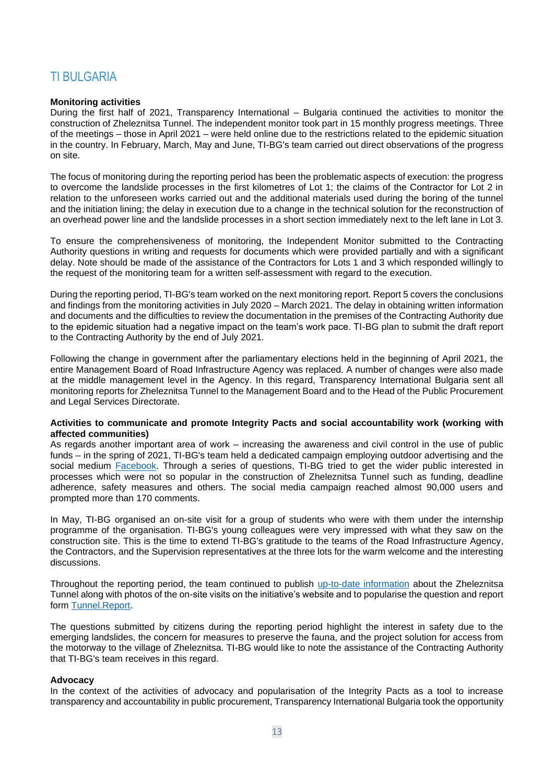# <span id="page-12-0"></span>**TI BULGARIA**

#### **Monitoring activities**

During the first half of 2021, Transparency International – Bulgaria continued the activities to monitor the construction of Zheleznitsa Tunnel. The independent monitor took part in 15 monthly progress meetings. Three of the meetings – those in April 2021 – were held online due to the restrictions related to the epidemic situation in the country. In February, March, May and June, TI-BG's team carried out direct observations of the progress on site.

The focus of monitoring during the reporting period has been the problematic aspects of execution: the progress to overcome the landslide processes in the first kilometres of Lot 1; the claims of the Contractor for Lot 2 in relation to the unforeseen works carried out and the additional materials used during the boring of the tunnel and the initiation lining; the delay in execution due to a change in the technical solution for the reconstruction of an overhead power line and the landslide processes in a short section immediately next to the left lane in Lot 3.

To ensure the comprehensiveness of monitoring, the Independent Monitor submitted to the Contracting Authority questions in writing and requests for documents which were provided partially and with a significant delay. Note should be made of the assistance of the Contractors for Lots 1 and 3 which responded willingly to the request of the monitoring team for a written self-assessment with regard to the execution.

During the reporting period, TI-BG's team worked on the next monitoring report. Report 5 covers the conclusions and findings from the monitoring activities in July 2020 – March 2021. The delay in obtaining written information and documents and the difficulties to review the documentation in the premises of the Contracting Authority due to the epidemic situation had a negative impact on the team's work pace. TI-BG plan to submit the draft report to the Contracting Authority by the end of July 2021.

Following the change in government after the parliamentary elections held in the beginning of April 2021, the entire Management Board of Road Infrastructure Agency was replaced. A number of changes were also made at the middle management level in the Agency. In this regard, Transparency International Bulgaria sent all monitoring reports for Zheleznitsa Tunnel to the Management Board and to the Head of the Public Procurement and Legal Services Directorate.

#### **Activities to communicate and promote Integrity Pacts and social accountability work (working with affected communities)**

As regards another important area of work – increasing the awareness and civil control in the use of public funds – in the spring of 2021, TI-BG's team held a dedicated campaign employing outdoor advertising and the social medium **Facebook**. Through a series of questions, TI-BG tried to get the wider public interested in processes which were not so popular in the construction of Zheleznitsa Tunnel such as funding, deadline adherence, safety measures and others. The social media campaign reached almost 90,000 users and prompted more than 170 comments.

In May, TI-BG organised an on-site visit for a group of students who were with them under the internship programme of the organisation. TI-BG's young colleagues were very impressed with what they saw on the construction site. This is the time to extend TI-BG's gratitude to the teams of the Road Infrastructure Agency, the Contractors, and the Supervision representatives at the three lots for the warm welcome and the interesting discussions.

Throughout the reporting period, the team continued to publish [up-to-date information](https://integrity.transparency.bg/en/monitoring/) about the Zheleznitsa Tunnel along with photos of the on-site visits on the initiative's website and to popularise the question and report form [Tunnel.Report.](https://integrity.transparency.bg/gallery/)

The questions submitted by citizens during the reporting period highlight the interest in safety due to the emerging landslides, the concern for measures to preserve the fauna, and the project solution for access from the motorway to the village of Zheleznitsa. TI-BG would like to note the assistance of the Contracting Authority that TI-BG's team receives in this regard.

#### **Advocacy**

In the context of the activities of advocacy and popularisation of the Integrity Pacts as a tool to increase transparency and accountability in public procurement, Transparency International Bulgaria took the opportunity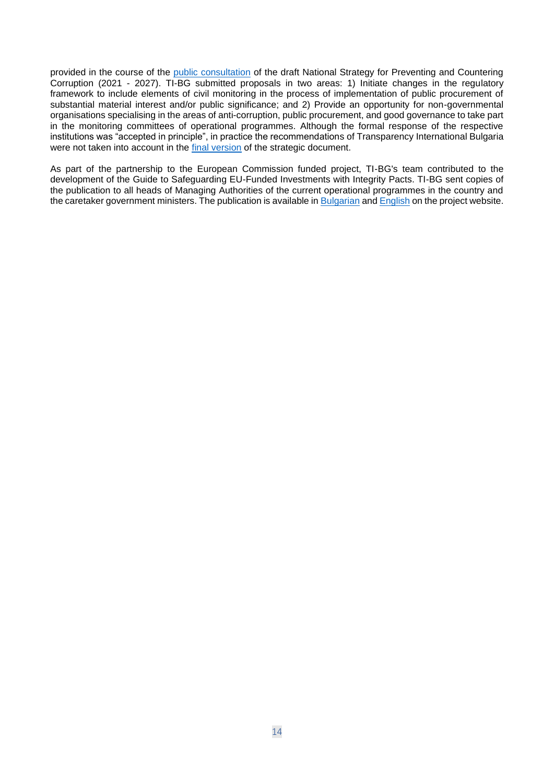provided in the course of the [public consultation](https://www.strategy.bg/PublicConsultations/View.aspx?lang=bg-BG&Id=5828) of the draft National Strategy for Preventing and Countering Corruption (2021 - 2027). TI-BG submitted proposals in two areas: 1) Initiate changes in the regulatory framework to include elements of civil monitoring in the process of implementation of public procurement of substantial material interest and/or public significance; and 2) Provide an opportunity for non-governmental organisations specialising in the areas of anti-corruption, public procurement, and good governance to take part in the monitoring committees of operational programmes. Although the formal response of the respective institutions was "accepted in principle", in practice the recommendations of Transparency International Bulgaria were not taken into account in the [final version](https://strategy.bg/StrategicDocuments/View.aspx?lang=bg-BG&Id=1353) of the strategic document.

As part of the partnership to the European Commission funded project, TI-BG's team contributed to the development of the Guide to Safeguarding EU-Funded Investments with Integrity Pacts. TI-BG sent copies of the publication to all heads of Managing Authorities of the current operational programmes in the country and the caretaker government ministers. The publication is available i[n Bulgarian](https://integrity.transparency.bg/wp-content/uploads/2021/06/2021_Safeguarding_EU_funded_investments_BG.pdf) and [English](https://integrity.transparency.bg/en/wp-content/uploads/sites/2/2021/06/2021_Safeguarding_EU_funded_investments_EN.pdf) on the project website.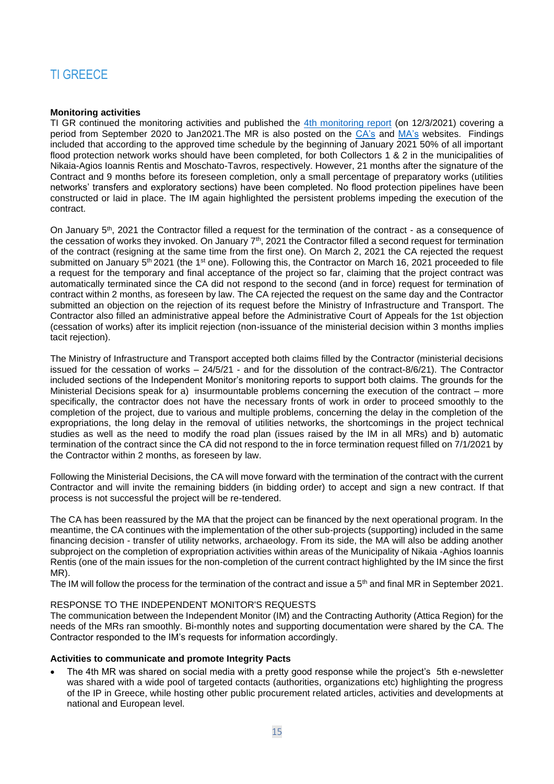# <span id="page-14-0"></span>TI GREECE

### **Monitoring activities**

TI GR continued the monitoring activities and published the [4th monitoring report](https://integritypact.gr/wp-content/uploads/2021/03/4th-MONITORING-REPORT.pdf) (on 12/3/2021) covering a period from September 2020 to Jan2021.The MR is also posted on the [CA's](http://www.patt.gov.gr/site/index.php?option=com_content&view=article&id=38873:dimosiefsi-4is-ekthesis-aneksartitou-paratiriti-tou-ergou-kataskevi-diktyou-omvrion-se-perioxes-ton-dimon-nikaias-ag-ioanni-renti-kai-mosxatou-tayrou&catid=548&Itemid=865) and [MA's](https://www.pepattikis.gr/all/4i-ekthesi-toy-anexartitoy-paratiriti-diethni-diafaneia-elladas-dde-gia-to-ergo-kataskeyi-diktyoy-omvrion-se-perioches-ton-dimon-nikaias-ag-ioannoy-renti-kai-moschatoy-tayroy/) websites. Findings included that according to the approved time schedule by the beginning of January 2021 50% of all important flood protection network works should have been completed, for both Collectors 1 & 2 in the municipalities of Nikaia-Agios Ioannis Rentis and Moschato-Tavros, respectively. However, 21 months after the signature of the Contract and 9 months before its foreseen completion, only a small percentage of preparatory works (utilities networks' transfers and exploratory sections) have been completed. No flood protection pipelines have been constructed or laid in place. The IM again highlighted the persistent problems impeding the execution of the contract.

On January 5<sup>th</sup>, 2021 the Contractor filled a request for the termination of the contract - as a consequence of the cessation of works they invoked. On January  $7<sup>th</sup>$ , 2021 the Contractor filled a second request for termination of the contract (resigning at the same time from the first one). On March 2, 2021 the CA rejected the request submitted on January 5<sup>th</sup> 2021 (the 1<sup>st</sup> one). Following this, the Contractor on March 16, 2021 proceeded to file a request for the temporary and final acceptance of the project so far, claiming that the project contract was automatically terminated since the CA did not respond to the second (and in force) request for termination of contract within 2 months, as foreseen by law. The CA rejected the request on the same day and the Contractor submitted an objection on the rejection of its request before the Ministry of Infrastructure and Transport. The Contractor also filled an administrative appeal before the Administrative Court of Appeals for the 1st objection (cessation of works) after its implicit rejection (non-issuance of the ministerial decision within 3 months implies tacit rejection).

The Ministry of Infrastructure and Transport accepted both claims filled by the Contractor (ministerial decisions issued for the cessation of works  $-24/5/21$  - and for the dissolution of the contract-8/6/21). The Contractor included sections of the Independent Monitor's monitoring reports to support both claims. The grounds for the Ministerial Decisions speak for a) insurmountable problems concerning the execution of the contract – more specifically, the contractor does not have the necessary fronts of work in order to proceed smoothly to the completion of the project, due to various and multiple problems, concerning the delay in the completion of the expropriations, the long delay in the removal of utilities networks, the shortcomings in the project technical studies as well as the need to modify the road plan (issues raised by the IM in all MRs) and b) automatic termination of the contract since the CA did not respond to the in force termination request filled on 7/1/2021 by the Contractor within 2 months, as foreseen by law.

Following the Ministerial Decisions, the CA will move forward with the termination of the contract with the current Contractor and will invite the remaining bidders (in bidding order) to accept and sign a new contract. If that process is not successful the project will be re-tendered.

The CA has been reassured by the MA that the project can be financed by the next operational program. In the meantime, the CA continues with the implementation of the other sub-projects (supporting) included in the same financing decision - transfer of utility networks, archaeology. From its side, the MA will also be adding another subproject on the completion of expropriation activities within areas of the Municipality of Nikaia -Aghios Ioannis Rentis (one of the main issues for the non-completion of the current contract highlighted by the IM since the first MR).

The IM will follow the process for the termination of the contract and issue a 5<sup>th</sup> and final MR in September 2021.

#### RESPONSE TO THE INDEPENDENT MONITOR'S REQUESTS

The communication between the Independent Monitor (IM) and the Contracting Authority (Attica Region) for the needs of the MRs ran smoothly. Bi-monthly notes and supporting documentation were shared by the CA. The Contractor responded to the IM's requests for information accordingly.

#### **Activities to communicate and promote Integrity Pacts**

• The 4th MR was shared on social media with a pretty good response while the project's 5th e-newsletter was shared with a wide pool of targeted contacts (authorities, organizations etc) highlighting the progress of the IP in Greece, while hosting other public procurement related articles, activities and developments at national and European level.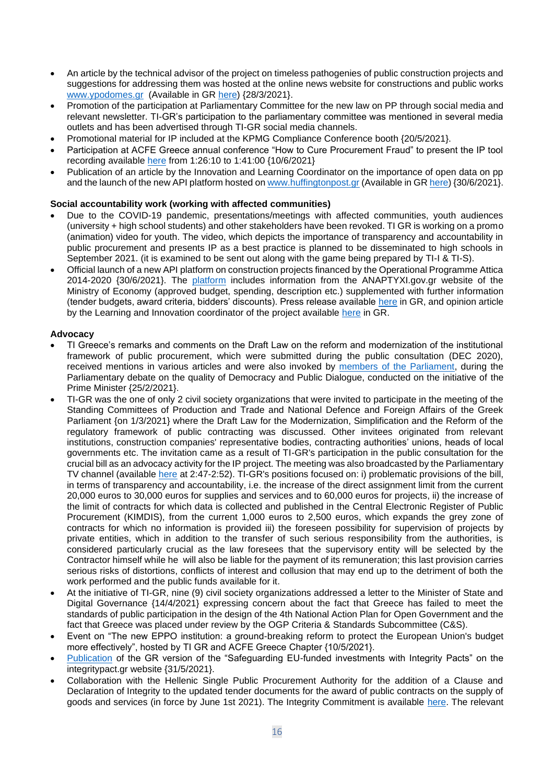- An article by the technical advisor of the project on timeless pathogenies of public construction projects and suggestions for addressing them was hosted at the online news website for constructions and public works [www.ypodomes.gr](http://www.ypodomes.gr/) (Available in GR [here\)](https://ypodomes.com/dimosia-katskeyastika-erga-diachronikes-pathogeneies-kai-protaseis-antimetopisis/) {28/3/2021}.
- Promotion of the participation at Parliamentary Committee for the new law on PP through social media and relevant newsletter. TI-GR's participation to the parliamentary committee was mentioned in several media outlets and has been advertised through TI-GR social media channels.
- Promotional material for IP included at the KPMG Compliance Conference booth {20/5/2021}.
- Participation at ACFE Greece annual conference "How to Cure Procurement Fraud" to present the IP tool recording available [here](https://www.youtube.com/watch?v=uRrxGnOmubU) from 1:26:10 to 1:41:00 {10/6/2021}
- Publication of an article by the Innovation and Learning Coordinator on the importance of open data on pp and the launch of the new API platform hosted o[n www.huffingtonpost.gr](http://www.huffingtonpost.gr/) (Available in GR [here\)](https://www.huffingtonpost.gr/entry/diethnes-diafaneia-ellas-ta-anoichta-dedomena-stis-demosies-semvaneis-eper-toe-polite_gr_60dc4f07e4b0d3e35f9b2761?xa&fbclid=IwAR2QegEu2olI0U8dGIvLvV3zNL0bxedZwqmK5B8imKSp0wjaE6xj8Vtbq0s) {30/6/2021}.

# **Social accountability work (working with affected communities)**

- Due to the COVID-19 pandemic, presentations/meetings with affected communities, youth audiences (university + high school students) and other stakeholders have been revoked. TI GR is working on a promo (animation) video for youth. The video, which depicts the importance of transparency and accountability in public procurement and presents IP as a best practice is planned to be disseminated to high schools in September 2021. (it is examined to be sent out along with the game being prepared by TI-I & TI-S).
- Official launch of a new API platform on construction projects financed by the Operational Programme Attica 2014-2020 {30/6/2021}. The [platform](https://open-data.integritypact.gr/) includes information from the ANAPTYXI.gov.gr website of the Ministry of Economy (approved budget, spending, description etc.) supplemented with further information (tender budgets, award criteria, bidders' discounts). Press release available [here](https://integritypact.gr/2021/06/30/%ce%b4%ce%b5%ce%bb%cf%84%ce%b9%ce%bf-%cf%84%cf%85%cf%80%ce%bf%cf%85-%ce%bd%ce%ad%ce%b1-%cf%80%ce%bb%ce%b1%cf%84%cf%86%cf%8c%cf%81%ce%bc%ce%b1-%ce%b1%ce%bd%ce%bf%ce%b9%cf%87%cf%84%cf%8e%ce%bd-%ce%b4/) in GR, and opinion article by the Learning and Innovation coordinator of the project available [here](https://www.huffingtonpost.gr/entry/diethnes-diafaneia-ellas-ta-anoichta-dedomena-stis-demosies-semvaneis-eper-toe-polite_gr_60dc4f07e4b0d3e35f9b2761) in GR.

#### **Advocacy**

- TI Greece's remarks and comments on the Draft Law on the reform and modernization of the institutional framework of public procurement, which were submitted during the public consultation (DEC 2020), received mentions in various articles and were also invoked by [members of the Parliament,](https://www.lawandorder.gr/Article/114253/politiki/gennimata-apolutos-katadikasteo-to-ndpaiderastes-edose-to-kalutero-sosibio-stin-kubernisi) during the Parliamentary debate on the quality of Democracy and Public Dialogue, conducted on the initiative of the Prime Minister {25/2/2021}.
- TI-GR was the one of only 2 civil society organizations that were invited to participate in the meeting of the Standing Committees of Production and Trade and National Defence and Foreign Affairs of the Greek Parliament {on 1/3/2021} where the Draft Law for the Modernization, Simplification and the Reform of the regulatory framework of public contracting was discussed. Other invitees originated from relevant institutions, construction companies' representative bodies, contracting authorities' unions, heads of local governments etc. The invitation came as a result of TI-GR's participation in the public consultation for the crucial bill as an advocacy activity for the IP project. The meeting was also broadcasted by the Parliamentary TV channel (available here at 2:47-2:52). TI-GR's positions focused on: i) problematic provisions of the bill, in terms of transparency and accountability, i.e. the increase of the direct assignment limit from the current 20,000 euros to 30,000 euros for supplies and services and to 60,000 euros for projects, ii) the increase of the limit of contracts for which data is collected and published in the Central Electronic Register of Public Procurement (KIMDIS), from the current 1,000 euros to 2,500 euros, which expands the grey zone of contracts for which no information is provided iii) the foreseen possibility for supervision of projects by private entities, which in addition to the transfer of such serious responsibility from the authorities, is considered particularly crucial as the law foresees that the supervisory entity will be selected by the Contractor himself while he will also be liable for the payment of its remuneration; this last provision carries serious risks of distortions, conflicts of interest and collusion that may end up to the detriment of both the work performed and the public funds available for it.
- At the initiative of TI-GR, nine (9) civil society organizations addressed a letter to the Minister of State and Digital Governance {14/4/2021} expressing concern about the fact that Greece has failed to meet the standards of public participation in the design of the 4th National Action Plan for Open Government and the fact that Greece was placed under review by the OGP Criteria & Standards Subcommittee (C&S).
- Event on "The new EPPO institution: a ground-breaking reform to protect the European Union's budget more effectively", hosted by TI GR and ACFE Greece Chapter {10/5/2021}.
- [Publication](https://integritypact.gr/ekdoseis/) of the GR version of the "Safeguarding EU-funded investments with Integrity Pacts" on the integritypact.gr website {31/5/2021}.
- Collaboration with the Hellenic Single Public Procurement Authority for the addition of a Clause and Declaration of Integrity to the updated tender documents for the award of public contracts on the supply of goods and services (in force by June 1st 2021). The Integrity Commitment is available [here.](https://www.eaadhsy.gr/index.php/category-articles-gia-tous-foreis/17-c-protypa/622-anartisi-epikairopoiimenon-tefchon-diakiryxeon-promitheion-kai-ypiresion-version-20210608) The relevant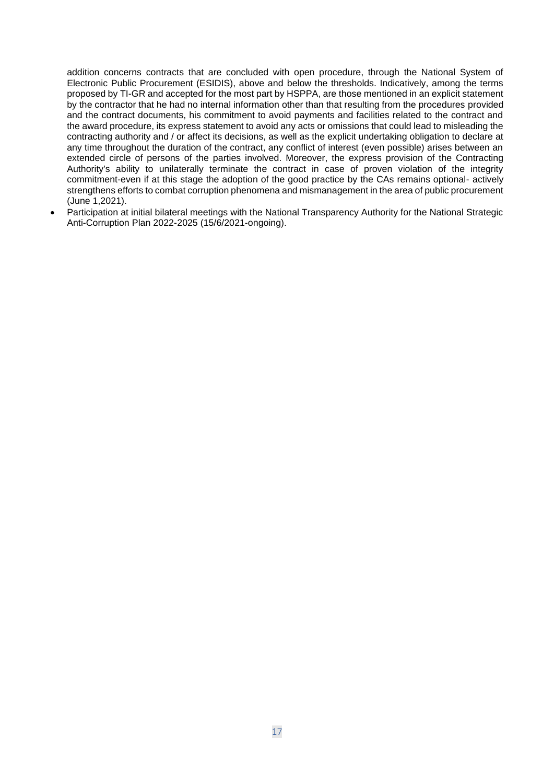addition concerns contracts that are concluded with open procedure, through the National System of Electronic Public Procurement (ESIDIS), above and below the thresholds. Indicatively, among the terms proposed by TI-GR and accepted for the most part by HSPPA, are those mentioned in an explicit statement by the contractor that he had no internal information other than that resulting from the procedures provided and the contract documents, his commitment to avoid payments and facilities related to the contract and the award procedure, its express statement to avoid any acts or omissions that could lead to misleading the contracting authority and / or affect its decisions, as well as the explicit undertaking obligation to declare at any time throughout the duration of the contract, any conflict of interest (even possible) arises between an extended circle of persons of the parties involved. Moreover, the express provision of the Contracting Authority's ability to unilaterally terminate the contract in case of proven violation of the integrity commitment-even if at this stage the adoption of the good practice by the CAs remains optional- actively strengthens efforts to combat corruption phenomena and mismanagement in the area of public procurement (June 1,2021).

• Participation at initial bilateral meetings with the National Transparency Authority for the National Strategic Anti-Corruption Plan 2022-2025 (15/6/2021-ongoing).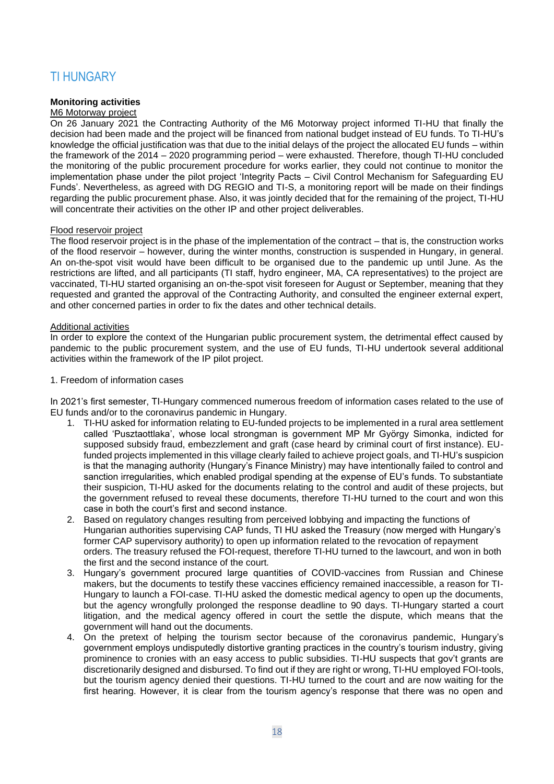# <span id="page-17-0"></span>TI HUNGARY

# **Monitoring activities**

#### M6 Motorway project

On 26 January 2021 the Contracting Authority of the M6 Motorway project informed TI-HU that finally the decision had been made and the project will be financed from national budget instead of EU funds. To TI-HU's knowledge the official justification was that due to the initial delays of the project the allocated EU funds – within the framework of the 2014 – 2020 programming period – were exhausted. Therefore, though TI-HU concluded the monitoring of the public procurement procedure for works earlier, they could not continue to monitor the implementation phase under the pilot project 'Integrity Pacts – Civil Control Mechanism for Safeguarding EU Funds'. Nevertheless, as agreed with DG REGIO and TI-S, a monitoring report will be made on their findings regarding the public procurement phase. Also, it was jointly decided that for the remaining of the project, TI-HU will concentrate their activities on the other IP and other project deliverables.

#### Flood reservoir project

The flood reservoir project is in the phase of the implementation of the contract – that is, the construction works of the flood reservoir – however, during the winter months, construction is suspended in Hungary, in general. An on-the-spot visit would have been difficult to be organised due to the pandemic up until June. As the restrictions are lifted, and all participants (TI staff, hydro engineer, MA, CA representatives) to the project are vaccinated, TI-HU started organising an on-the-spot visit foreseen for August or September, meaning that they requested and granted the approval of the Contracting Authority, and consulted the engineer external expert, and other concerned parties in order to fix the dates and other technical details.

### Additional activities

In order to explore the context of the Hungarian public procurement system, the detrimental effect caused by pandemic to the public procurement system, and the use of EU funds, TI-HU undertook several additional activities within the framework of the IP pilot project.

#### 1. Freedom of information cases

In 2021's first semester, TI-Hungary commenced numerous freedom of information cases related to the use of EU funds and/or to the coronavirus pandemic in Hungary.

- 1. TI-HU asked for information relating to EU-funded projects to be implemented in a rural area settlement called 'Pusztaottlaka', whose local strongman is government MP Mr György Simonka, indicted for supposed subsidy fraud, embezzlement and graft (case heard by criminal court of first instance). EUfunded projects implemented in this village clearly failed to achieve project goals, and TI-HU's suspicion is that the managing authority (Hungary's Finance Ministry) may have intentionally failed to control and sanction irregularities, which enabled prodigal spending at the expense of EU's funds. To substantiate their suspicion, TI-HU asked for the documents relating to the control and audit of these projects, but the government refused to reveal these documents, therefore TI-HU turned to the court and won this case in both the court's first and second instance.
- 2. Based on regulatory changes resulting from perceived lobbying and impacting the functions of Hungarian authorities supervising CAP funds, TI HU asked the Treasury (now merged with Hungary's former CAP supervisory authority) to open up information related to the revocation of repayment orders. The treasury refused the FOI-request, therefore TI-HU turned to the lawcourt, and won in both the first and the second instance of the court*.*
- 3. Hungary's government procured large quantities of COVID-vaccines from Russian and Chinese makers, but the documents to testify these vaccines efficiency remained inaccessible, a reason for TI-Hungary to launch a FOI-case. TI-HU asked the domestic medical agency to open up the documents, but the agency wrongfully prolonged the response deadline to 90 days. TI-Hungary started a court litigation, and the medical agency offered in court the settle the dispute, which means that the government will hand out the documents.
- 4. On the pretext of helping the tourism sector because of the coronavirus pandemic, Hungary's government employs undisputedly distortive granting practices in the country's tourism industry, giving prominence to cronies with an easy access to public subsidies. TI-HU suspects that gov't grants are discretionarily designed and disbursed. To find out if they are right or wrong, TI-HU employed FOI-tools, but the tourism agency denied their questions. TI-HU turned to the court and are now waiting for the first hearing. However, it is clear from the tourism agency's response that there was no open and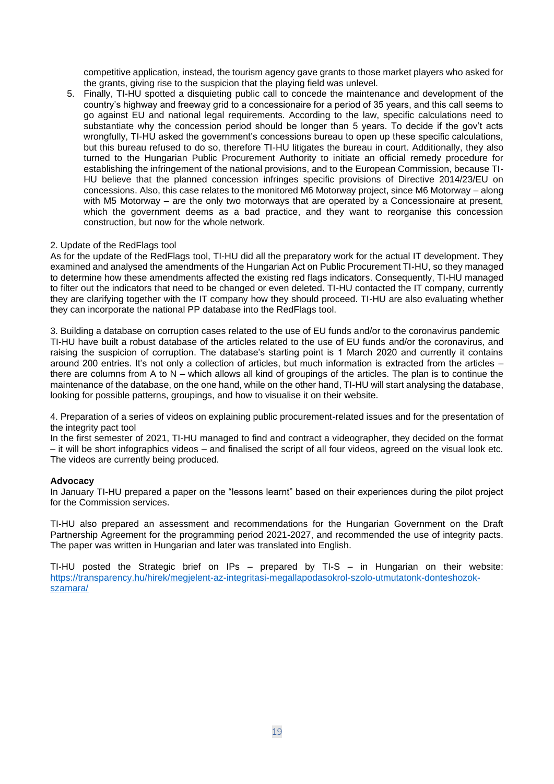competitive application, instead, the tourism agency gave grants to those market players who asked for the grants, giving rise to the suspicion that the playing field was unlevel.

5. Finally, TI-HU spotted a disquieting public call to concede the maintenance and development of the country's highway and freeway grid to a concessionaire for a period of 35 years, and this call seems to go against EU and national legal requirements. According to the law, specific calculations need to substantiate why the concession period should be longer than 5 years. To decide if the gov't acts wrongfully, TI-HU asked the government's concessions bureau to open up these specific calculations, but this bureau refused to do so, therefore TI-HU litigates the bureau in court. Additionally, they also turned to the Hungarian Public Procurement Authority to initiate an official remedy procedure for establishing the infringement of the national provisions, and to the European Commission, because TI-HU believe that the planned concession infringes specific provisions of Directive 2014/23/EU on concessions. Also, this case relates to the monitored M6 Motorway project, since M6 Motorway – along with M5 Motorway – are the only two motorways that are operated by a Concessionaire at present, which the government deems as a bad practice, and they want to reorganise this concession construction, but now for the whole network.

# 2. Update of the RedFlags tool

As for the update of the RedFlags tool, TI-HU did all the preparatory work for the actual IT development. They examined and analysed the amendments of the Hungarian Act on Public Procurement TI-HU, so they managed to determine how these amendments affected the existing red flags indicators. Consequently, TI-HU managed to filter out the indicators that need to be changed or even deleted. TI-HU contacted the IT company, currently they are clarifying together with the IT company how they should proceed. TI-HU are also evaluating whether they can incorporate the national PP database into the RedFlags tool.

3. Building a database on corruption cases related to the use of EU funds and/or to the coronavirus pandemic TI-HU have built a robust database of the articles related to the use of EU funds and/or the coronavirus, and raising the suspicion of corruption. The database's starting point is 1 March 2020 and currently it contains around 200 entries. It's not only a collection of articles, but much information is extracted from the articles – there are columns from A to N – which allows all kind of groupings of the articles. The plan is to continue the maintenance of the database, on the one hand, while on the other hand, TI-HU will start analysing the database, looking for possible patterns, groupings, and how to visualise it on their website.

4. Preparation of a series of videos on explaining public procurement-related issues and for the presentation of the integrity pact tool

In the first semester of 2021, TI-HU managed to find and contract a videographer, they decided on the format – it will be short infographics videos – and finalised the script of all four videos, agreed on the visual look etc. The videos are currently being produced.

#### **Advocacy**

In January TI-HU prepared a paper on the "lessons learnt" based on their experiences during the pilot project for the Commission services.

TI-HU also prepared an assessment and recommendations for the Hungarian Government on the Draft Partnership Agreement for the programming period 2021-2027, and recommended the use of integrity pacts. The paper was written in Hungarian and later was translated into English.

TI-HU posted the Strategic brief on IPs – prepared by TI-S – in Hungarian on their website: [https://transparency.hu/hirek/megjelent-az-integritasi-megallapodasokrol-szolo-utmutatonk-donteshozok](https://transparency.hu/hirek/megjelent-az-integritasi-megallapodasokrol-szolo-utmutatonk-donteshozok-szamara/)[szamara/](https://transparency.hu/hirek/megjelent-az-integritasi-megallapodasokrol-szolo-utmutatonk-donteshozok-szamara/)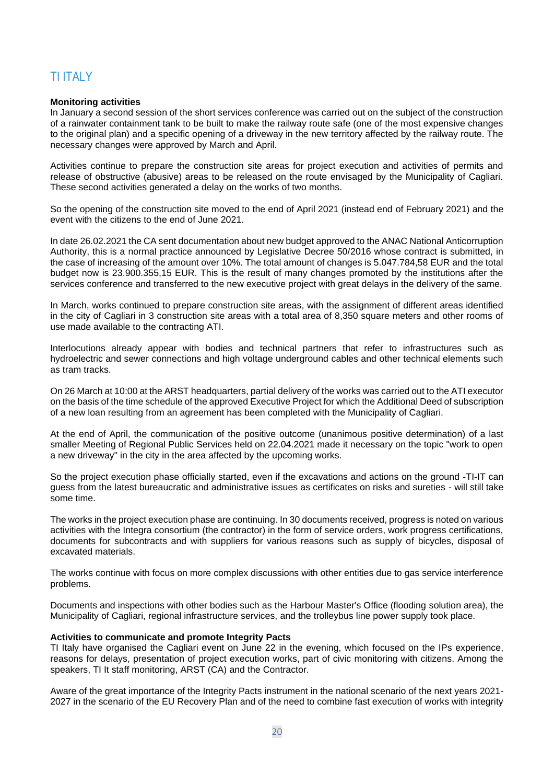# <span id="page-19-0"></span>TI ITALY

#### **Monitoring activities**

In January a second session of the short services conference was carried out on the subject of the construction of a rainwater containment tank to be built to make the railway route safe (one of the most expensive changes to the original plan) and a specific opening of a driveway in the new territory affected by the railway route. The necessary changes were approved by March and April.

Activities continue to prepare the construction site areas for project execution and activities of permits and release of obstructive (abusive) areas to be released on the route envisaged by the Municipality of Cagliari. These second activities generated a delay on the works of two months.

So the opening of the construction site moved to the end of April 2021 (instead end of February 2021) and the event with the citizens to the end of June 2021.

In date 26.02.2021 the CA sent documentation about new budget approved to the ANAC National Anticorruption Authority, this is a normal practice announced by Legislative Decree 50/2016 whose contract is submitted, in the case of increasing of the amount over 10%. The total amount of changes is 5.047.784,58 EUR and the total budget now is 23.900.355,15 EUR. This is the result of many changes promoted by the institutions after the services conference and transferred to the new executive project with great delays in the delivery of the same.

In March, works continued to prepare construction site areas, with the assignment of different areas identified in the city of Cagliari in 3 construction site areas with a total area of 8,350 square meters and other rooms of use made available to the contracting ATI.

Interlocutions already appear with bodies and technical partners that refer to infrastructures such as hydroelectric and sewer connections and high voltage underground cables and other technical elements such as tram tracks.

On 26 March at 10:00 at the ARST headquarters, partial delivery of the works was carried out to the ATI executor on the basis of the time schedule of the approved Executive Project for which the Additional Deed of subscription of a new loan resulting from an agreement has been completed with the Municipality of Cagliari.

At the end of April, the communication of the positive outcome (unanimous positive determination) of a last smaller Meeting of Regional Public Services held on 22.04.2021 made it necessary on the topic "work to open a new driveway" in the city in the area affected by the upcoming works.

So the project execution phase officially started, even if the excavations and actions on the ground -TI-IT can guess from the latest bureaucratic and administrative issues as certificates on risks and sureties - will still take some time.

The works in the project execution phase are continuing. In 30 documents received, progress is noted on various activities with the Integra consortium (the contractor) in the form of service orders, work progress certifications, documents for subcontracts and with suppliers for various reasons such as supply of bicycles, disposal of excavated materials.

The works continue with focus on more complex discussions with other entities due to gas service interference problems.

Documents and inspections with other bodies such as the Harbour Master's Office (flooding solution area), the Municipality of Cagliari, regional infrastructure services, and the trolleybus line power supply took place.

#### **Activities to communicate and promote Integrity Pacts**

TI Italy have organised the Cagliari event on June 22 in the evening, which focused on the IPs experience, reasons for delays, presentation of project execution works, part of civic monitoring with citizens. Among the speakers, TI It staff monitoring, ARST (CA) and the Contractor.

Aware of the great importance of the Integrity Pacts instrument in the national scenario of the next years 2021- 2027 in the scenario of the EU Recovery Plan and of the need to combine fast execution of works with integrity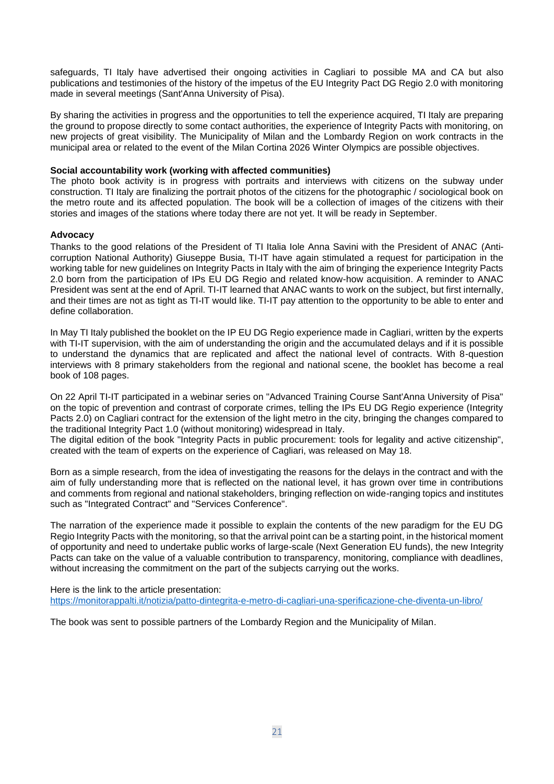safeguards, TI Italy have advertised their ongoing activities in Cagliari to possible MA and CA but also publications and testimonies of the history of the impetus of the EU Integrity Pact DG Regio 2.0 with monitoring made in several meetings (Sant'Anna University of Pisa).

By sharing the activities in progress and the opportunities to tell the experience acquired, TI Italy are preparing the ground to propose directly to some contact authorities, the experience of Integrity Pacts with monitoring, on new projects of great visibility. The Municipality of Milan and the Lombardy Region on work contracts in the municipal area or related to the event of the Milan Cortina 2026 Winter Olympics are possible objectives.

# **Social accountability work (working with affected communities)**

The photo book activity is in progress with portraits and interviews with citizens on the subway under construction. TI Italy are finalizing the portrait photos of the citizens for the photographic / sociological book on the metro route and its affected population. The book will be a collection of images of the citizens with their stories and images of the stations where today there are not yet. It will be ready in September.

# **Advocacy**

Thanks to the good relations of the President of TI Italia Iole Anna Savini with the President of ANAC (Anticorruption National Authority) Giuseppe Busia, TI-IT have again stimulated a request for participation in the working table for new guidelines on Integrity Pacts in Italy with the aim of bringing the experience Integrity Pacts 2.0 born from the participation of IPs EU DG Regio and related know-how acquisition. A reminder to ANAC President was sent at the end of April. TI-IT learned that ANAC wants to work on the subject, but first internally, and their times are not as tight as TI-IT would like. TI-IT pay attention to the opportunity to be able to enter and define collaboration.

In May TI Italy published the booklet on the IP EU DG Regio experience made in Cagliari, written by the experts with TI-IT supervision, with the aim of understanding the origin and the accumulated delays and if it is possible to understand the dynamics that are replicated and affect the national level of contracts. With 8-question interviews with 8 primary stakeholders from the regional and national scene, the booklet has become a real book of 108 pages.

On 22 April TI-IT participated in a webinar series on "Advanced Training Course Sant'Anna University of Pisa" on the topic of prevention and contrast of corporate crimes, telling the IPs EU DG Regio experience (Integrity Pacts 2.0) on Cagliari contract for the extension of the light metro in the city, bringing the changes compared to the traditional Integrity Pact 1.0 (without monitoring) widespread in Italy.

The digital edition of the book "Integrity Pacts in public procurement: tools for legality and active citizenship", created with the team of experts on the experience of Cagliari, was released on May 18.

Born as a simple research, from the idea of investigating the reasons for the delays in the contract and with the aim of fully understanding more that is reflected on the national level, it has grown over time in contributions and comments from regional and national stakeholders, bringing reflection on wide-ranging topics and institutes such as "Integrated Contract" and "Services Conference".

The narration of the experience made it possible to explain the contents of the new paradigm for the EU DG Regio Integrity Pacts with the monitoring, so that the arrival point can be a starting point, in the historical moment of opportunity and need to undertake public works of large-scale (Next Generation EU funds), the new Integrity Pacts can take on the value of a valuable contribution to transparency, monitoring, compliance with deadlines, without increasing the commitment on the part of the subjects carrying out the works.

Here is the link to the article presentation: <https://monitorappalti.it/notizia/patto-dintegrita-e-metro-di-cagliari-una-sperificazione-che-diventa-un-libro/>

The book was sent to possible partners of the Lombardy Region and the Municipality of Milan.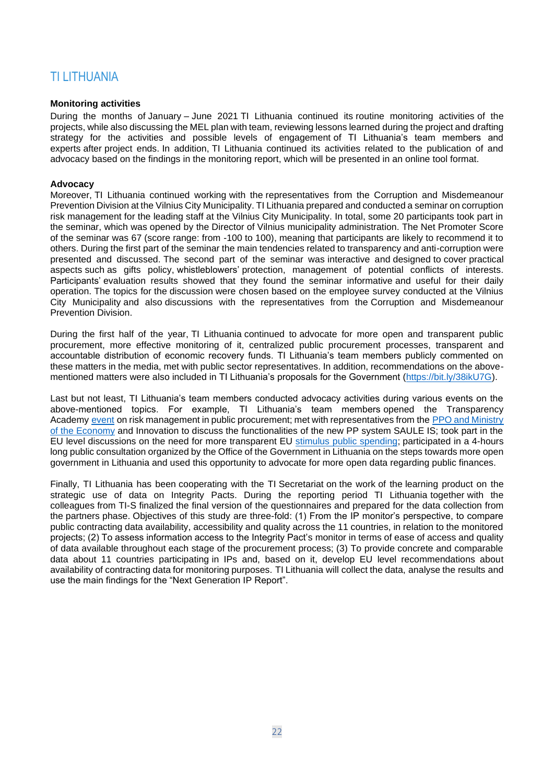# <span id="page-21-0"></span>TI LITHUANIA

#### **Monitoring activities**

During the months of January – June 2021 TI Lithuania continued its routine monitoring activities of the projects, while also discussing the MEL plan with team, reviewing lessons learned during the project and drafting strategy for the activities and possible levels of engagement of TI Lithuania's team members and experts after project ends. In addition, TI Lithuania continued its activities related to the publication of and advocacy based on the findings in the monitoring report, which will be presented in an online tool format.

#### **Advocacy**

Moreover, TI Lithuania continued working with the representatives from the Corruption and Misdemeanour Prevention Division at the Vilnius City Municipality. TI Lithuania prepared and conducted a seminar on corruption risk management for the leading staff at the Vilnius City Municipality. In total, some 20 participants took part in the seminar, which was opened by the Director of Vilnius municipality administration. The Net Promoter Score of the seminar was 67 (score range: from -100 to 100), meaning that participants are likely to recommend it to others. During the first part of the seminar the main tendencies related to transparency and anti-corruption were presented and discussed. The second part of the seminar was interactive and designed to cover practical aspects such as gifts policy, whistleblowers' protection, management of potential conflicts of interests. Participants' evaluation results showed that they found the seminar informative and useful for their daily operation. The topics for the discussion were chosen based on the employee survey conducted at the Vilnius City Municipality and also discussions with the representatives from the Corruption and Misdemeanour Prevention Division.

During the first half of the year, TI Lithuania continued to advocate for more open and transparent public procurement, more effective monitoring of it, centralized public procurement processes, transparent and accountable distribution of economic recovery funds. TI Lithuania's team members publicly commented on these matters in the media, met with public sector representatives. In addition, recommendations on the abovementioned matters were also included in TI Lithuania's proposals for the Government [\(https://bit.ly/38ikU7G\)](https://bit.ly/38ikU7G).

Last but not least, TI Lithuania's team members conducted advocacy activities during various events on the above-mentioned topics. For example, TI Lithuania's team members opened the Transparency Academy [event](https://www.facebook.com/LRSTT/photos/a.402653209789721/3727850757269933/) on risk management in public procurement; met with representatives from the PPO and Ministry [of the Economy](https://www.transparency.lt/dalyvaujame-virtualiame-susitikime-su-eimin-ir-vpt-atstovais/) and Innovation to discuss the functionalities of the new PP system SAULE IS; took part in the EU level discussions on the need for more transparent EU [stimulus public spending;](https://www.open-procurement.eu/) participated in a 4-hours long public consultation organized by the Office of the Government in Lithuania on the steps towards more open government in Lithuania and used this opportunity to advocate for more open data regarding public finances.

Finally, TI Lithuania has been cooperating with the TI Secretariat on the work of the learning product on the strategic use of data on Integrity Pacts. During the reporting period TI Lithuania together with the colleagues from TI-S finalized the final version of the questionnaires and prepared for the data collection from the partners phase. Objectives of this study are three-fold: (1) From the IP monitor's perspective, to compare public contracting data availability, accessibility and quality across the 11 countries, in relation to the monitored projects; (2) To assess information access to the Integrity Pact's monitor in terms of ease of access and quality of data available throughout each stage of the procurement process; (3) To provide concrete and comparable data about 11 countries participating in IPs and, based on it, develop EU level recommendations about availability of contracting data for monitoring purposes. TI Lithuania will collect the data, analyse the results and use the main findings for the "Next Generation IP Report".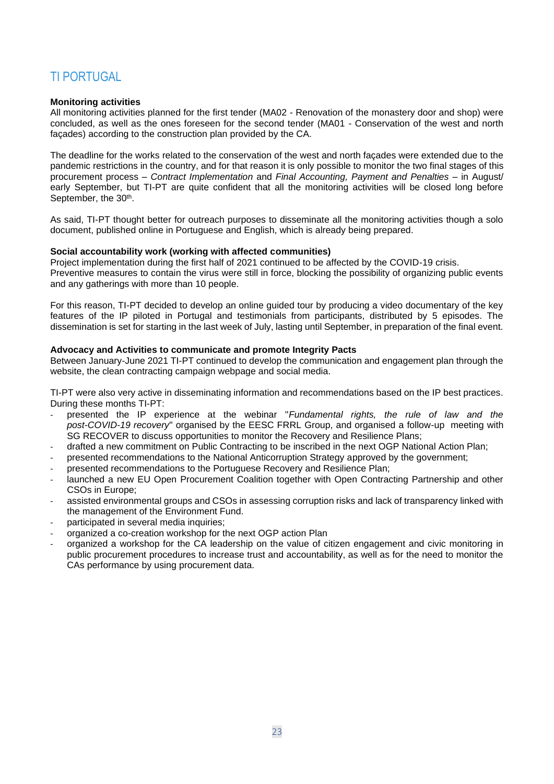# <span id="page-22-0"></span>TI PORTUGAL

### **Monitoring activities**

All monitoring activities planned for the first tender (MA02 - Renovation of the monastery door and shop) were concluded, as well as the ones foreseen for the second tender (MA01 - Conservation of the west and north façades) according to the construction plan provided by the CA.

The deadline for the works related to the conservation of the west and north façades were extended due to the pandemic restrictions in the country, and for that reason it is only possible to monitor the two final stages of this procurement process – *Contract Implementation* and *Final Accounting, Payment and Penalties* – in August/ early September, but TI-PT are quite confident that all the monitoring activities will be closed long before September, the 30<sup>th</sup>.

As said, TI-PT thought better for outreach purposes to disseminate all the monitoring activities though a solo document, published online in Portuguese and English, which is already being prepared.

#### **Social accountability work (working with affected communities)**

Project implementation during the first half of 2021 continued to be affected by the COVID-19 crisis. Preventive measures to contain the virus were still in force, blocking the possibility of organizing public events and any gatherings with more than 10 people.

For this reason, TI-PT decided to develop an online guided tour by producing a video documentary of the key features of the IP piloted in Portugal and testimonials from participants, distributed by 5 episodes. The dissemination is set for starting in the last week of July, lasting until September, in preparation of the final event.

#### **Advocacy and Activities to communicate and promote Integrity Pacts**

Between January-June 2021 TI-PT continued to develop the communication and engagement plan through the website, the clean contracting campaign webpage and social media.

TI-PT were also very active in disseminating information and recommendations based on the IP best practices. During these months TI-PT:

- presented the IP experience at the webinar "*Fundamental rights, the rule of law and the post-COVID-19 recovery*" organised by the EESC FRRL Group, and organised a follow-up meeting with SG RECOVER to discuss opportunities to monitor the Recovery and Resilience Plans;
- drafted a new commitment on Public Contracting to be inscribed in the next OGP National Action Plan;
- presented recommendations to the National Anticorruption Strategy approved by the government;
- presented recommendations to the Portuguese Recovery and Resilience Plan;
- launched a new EU Open Procurement Coalition together with Open Contracting Partnership and other CSOs in Europe;
- assisted environmental groups and CSOs in assessing corruption risks and lack of transparency linked with the management of the Environment Fund.
- participated in several media inquiries;
- organized a co-creation workshop for the next OGP action Plan
- organized a workshop for the CA leadership on the value of citizen engagement and civic monitoring in public procurement procedures to increase trust and accountability, as well as for the need to monitor the CAs performance by using procurement data.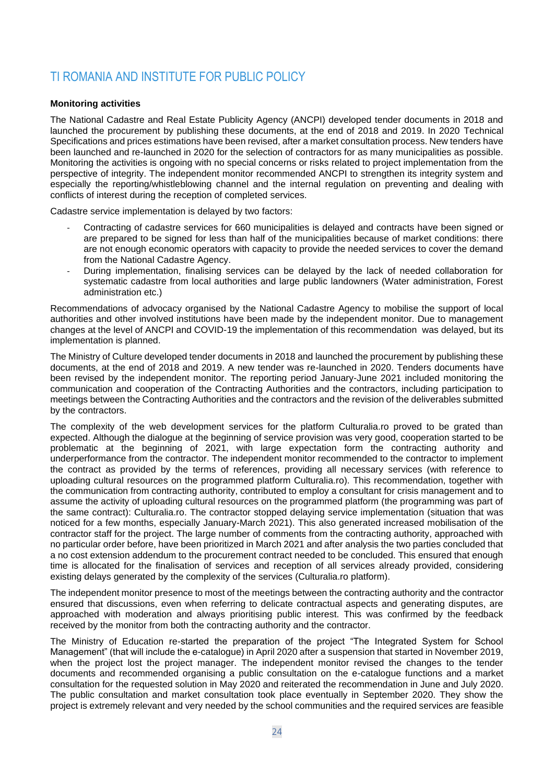# <span id="page-23-0"></span>TI ROMANIA AND INSTITUTE FOR PUBLIC POLICY

# **Monitoring activities**

The National Cadastre and Real Estate Publicity Agency (ANCPI) developed tender documents in 2018 and launched the procurement by publishing these documents, at the end of 2018 and 2019. In 2020 Technical Specifications and prices estimations have been revised, after a market consultation process. New tenders have been launched and re-launched in 2020 for the selection of contractors for as many municipalities as possible. Monitoring the activities is ongoing with no special concerns or risks related to project implementation from the perspective of integrity. The independent monitor recommended ANCPI to strengthen its integrity system and especially the reporting/whistleblowing channel and the internal regulation on preventing and dealing with conflicts of interest during the reception of completed services.

Cadastre service implementation is delayed by two factors:

- Contracting of cadastre services for 660 municipalities is delayed and contracts have been signed or are prepared to be signed for less than half of the municipalities because of market conditions: there are not enough economic operators with capacity to provide the needed services to cover the demand from the National Cadastre Agency.
- During implementation, finalising services can be delayed by the lack of needed collaboration for systematic cadastre from local authorities and large public landowners (Water administration, Forest administration etc.)

Recommendations of advocacy organised by the National Cadastre Agency to mobilise the support of local authorities and other involved institutions have been made by the independent monitor. Due to management changes at the level of ANCPI and COVID-19 the implementation of this recommendation was delayed, but its implementation is planned.

The Ministry of Culture developed tender documents in 2018 and launched the procurement by publishing these documents, at the end of 2018 and 2019. A new tender was re-launched in 2020. Tenders documents have been revised by the independent monitor. The reporting period January-June 2021 included monitoring the communication and cooperation of the Contracting Authorities and the contractors, including participation to meetings between the Contracting Authorities and the contractors and the revision of the deliverables submitted by the contractors.

The complexity of the web development services for the platform Culturalia.ro proved to be grated than expected. Although the dialogue at the beginning of service provision was very good, cooperation started to be problematic at the beginning of 2021, with large expectation form the contracting authority and underperformance from the contractor. The independent monitor recommended to the contractor to implement the contract as provided by the terms of references, providing all necessary services (with reference to uploading cultural resources on the programmed platform Culturalia.ro). This recommendation, together with the communication from contracting authority, contributed to employ a consultant for crisis management and to assume the activity of uploading cultural resources on the programmed platform (the programming was part of the same contract): Culturalia.ro. The contractor stopped delaying service implementation (situation that was noticed for a few months, especially January-March 2021). This also generated increased mobilisation of the contractor staff for the project. The large number of comments from the contracting authority, approached with no particular order before, have been prioritized in March 2021 and after analysis the two parties concluded that a no cost extension addendum to the procurement contract needed to be concluded. This ensured that enough time is allocated for the finalisation of services and reception of all services already provided, considering existing delays generated by the complexity of the services (Culturalia.ro platform).

The independent monitor presence to most of the meetings between the contracting authority and the contractor ensured that discussions, even when referring to delicate contractual aspects and generating disputes, are approached with moderation and always prioritising public interest. This was confirmed by the feedback received by the monitor from both the contracting authority and the contractor.

The Ministry of Education re-started the preparation of the project "The Integrated System for School Management" (that will include the e-catalogue) in April 2020 after a suspension that started in November 2019, when the project lost the project manager. The independent monitor revised the changes to the tender documents and recommended organising a public consultation on the e-catalogue functions and a market consultation for the requested solution in May 2020 and reiterated the recommendation in June and July 2020. The public consultation and market consultation took place eventually in September 2020. They show the project is extremely relevant and very needed by the school communities and the required services are feasible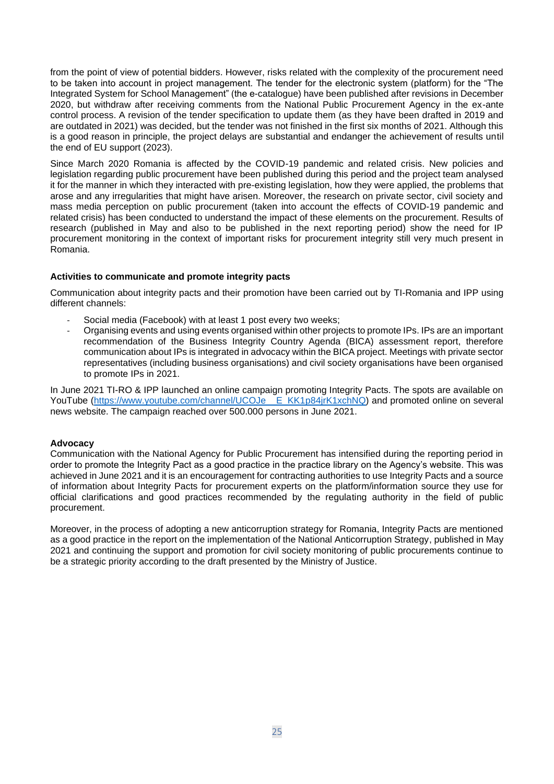from the point of view of potential bidders. However, risks related with the complexity of the procurement need to be taken into account in project management. The tender for the electronic system (platform) for the "The Integrated System for School Management" (the e-catalogue) have been published after revisions in December 2020, but withdraw after receiving comments from the National Public Procurement Agency in the ex-ante control process. A revision of the tender specification to update them (as they have been drafted in 2019 and are outdated in 2021) was decided, but the tender was not finished in the first six months of 2021. Although this is a good reason in principle, the project delays are substantial and endanger the achievement of results until the end of EU support (2023).

Since March 2020 Romania is affected by the COVID-19 pandemic and related crisis. New policies and legislation regarding public procurement have been published during this period and the project team analysed it for the manner in which they interacted with pre-existing legislation, how they were applied, the problems that arose and any irregularities that might have arisen. Moreover, the research on private sector, civil society and mass media perception on public procurement (taken into account the effects of COVID-19 pandemic and related crisis) has been conducted to understand the impact of these elements on the procurement. Results of research (published in May and also to be published in the next reporting period) show the need for IP procurement monitoring in the context of important risks for procurement integrity still very much present in Romania.

#### **Activities to communicate and promote integrity pacts**

Communication about integrity pacts and their promotion have been carried out by TI-Romania and IPP using different channels:

- Social media (Facebook) with at least 1 post every two weeks;
- Organising events and using events organised within other projects to promote IPs. IPs are an important recommendation of the Business Integrity Country Agenda (BICA) assessment report, therefore communication about IPs is integrated in advocacy within the BICA project. Meetings with private sector representatives (including business organisations) and civil society organisations have been organised to promote IPs in 2021.

In June 2021 TI-RO & IPP launched an online campaign promoting Integrity Pacts. The spots are available on YouTube [\(https://www.youtube.com/channel/UCOJe\\_\\_E\\_KK1p84jrK1xchNQ\)](https://www.youtube.com/channel/UCOJe__E_KK1p84jrK1xchNQ) and promoted online on several news website. The campaign reached over 500.000 persons in June 2021.

#### **Advocacy**

Communication with the National Agency for Public Procurement has intensified during the reporting period in order to promote the Integrity Pact as a good practice in the practice library on the Agency's website. This was achieved in June 2021 and it is an encouragement for contracting authorities to use Integrity Pacts and a source of information about Integrity Pacts for procurement experts on the platform/information source they use for official clarifications and good practices recommended by the regulating authority in the field of public procurement.

Moreover, in the process of adopting a new anticorruption strategy for Romania, Integrity Pacts are mentioned as a good practice in the report on the implementation of the National Anticorruption Strategy, published in May 2021 and continuing the support and promotion for civil society monitoring of public procurements continue to be a strategic priority according to the draft presented by the Ministry of Justice.